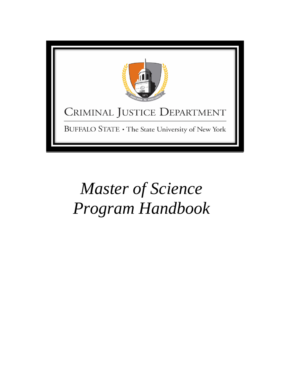

# *Master of Science Program Handbook*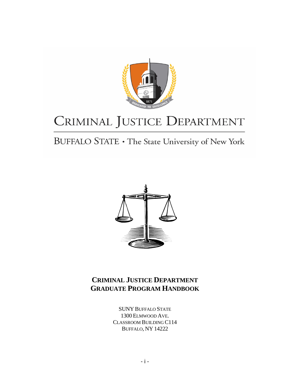

## CRIMINAL JUSTICE DEPARTMENT

### BUFFALO STATE . The State University of New York



### **CRIMINAL JUSTICE DEPARTMENT GRADUATE PROGRAM HANDBOOK**

SUNY BUFFALO STATE 1300 ELMWOOD AVE. CLASSROOM BUILDING C114 BUFFALO, NY 14222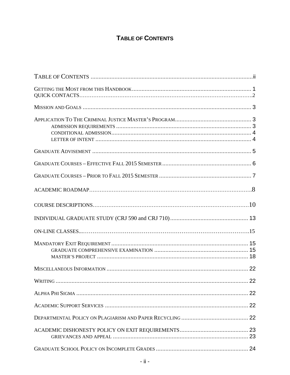### **TABLE OF CONTENTS**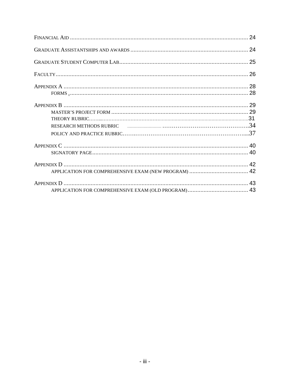| RESEARCH METHODS RUBRIC TELECOLOGY AND ALL AND THE SEARCH METHODS RUBRIC |  |
|--------------------------------------------------------------------------|--|
|                                                                          |  |
|                                                                          |  |
|                                                                          |  |
|                                                                          |  |
|                                                                          |  |
|                                                                          |  |
|                                                                          |  |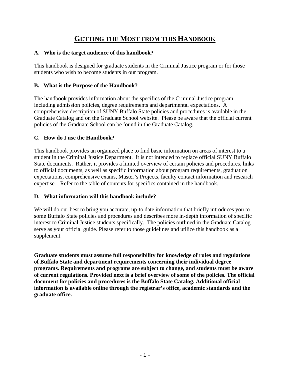### **GETTING THE MOST FROM THIS HANDBOOK**

#### **A. Who is the target audience of this handbook?**

This handbook is designed for graduate students in the Criminal Justice program or for those students who wish to become students in our program.

#### **B. What is the Purpose of the Handbook?**

The handbook provides information about the specifics of the Criminal Justice program, including admission policies, degree requirements and departmental expectations. A comprehensive description of SUNY Buffalo State policies and procedures is available in the Graduate Catalog and on the Graduate School website. Please be aware that the official current policies of the Graduate School can be found in the Graduate Catalog.

#### **C. How do I use the Handbook?**

This handbook provides an organized place to find basic information on areas of interest to a student in the Criminal Justice Department. It is not intended to replace official SUNY Buffalo State documents. Rather, it provides a limited overview of certain policies and procedures, links to official documents, as well as specific information about program requirements, graduation expectations, comprehensive exams, Master's Projects, faculty contact information and research expertise. Refer to the table of contents for specifics contained in the handbook.

#### **D. What information will this handbook include?**

We will do our best to bring you accurate, up-to date information that briefly introduces you to some Buffalo State policies and procedures and describes more in-depth information of specific interest to Criminal Justice students specifically. The policies outlined in the Graduate Catalog serve as your official guide. Please refer to those guidelines and utilize this handbook as a supplement.

**Graduate students must assume full responsibility for knowledge of rules and regulations of Buffalo State and department requirements concerning their individual degree programs. Requirements and programs are subject to change, and students must be aware of current regulations. Provided next is a brief overview of some of the policies. The official document for policies and procedures is the Buffalo State Catalog. Additional official information is available online through the registrar's office, academic standards and the graduate office.**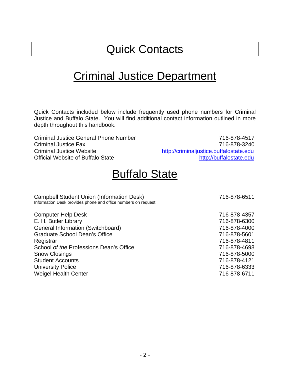## Quick Contacts

## **Criminal Justice Department**

Quick Contacts included below include frequently used phone numbers for Criminal Justice and Buffalo State. You will find additional contact information outlined in more depth throughout this handbook.

| <b>Criminal Justice General Phone Number</b> | 716-878-4517                            |
|----------------------------------------------|-----------------------------------------|
| Criminal Justice Fax                         | 716-878-3240                            |
| <b>Criminal Justice Website</b>              | http://criminaljustice.buffalostate.edu |
| <b>Official Website of Buffalo State</b>     | http://buffalostate.edu                 |
|                                              |                                         |

### Buffalo State

Campbell Student Union (Information Desk) 716-878-6511 Information Desk provides phone and office numbers on request Computer Help Desk 716-878-4357 E. H. Butler Library 716-878-6300

General Information (Switchboard) 716-878-4000 Graduate School Dean's Office 716-878-5601 Registrar 716-878-4811 School of the Professions Dean's Office 716-878-4698 Snow Closings 716-878-5000 Student Accounts 716-878-4121 University Police 716-878-6333 Weigel Health Center **716-878-6711**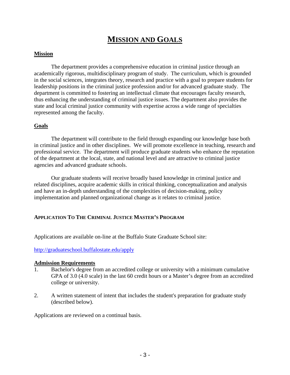### **MISSION AND GOALS**

#### **Mission**

The department provides a comprehensive education in criminal justice through an academically rigorous, multidisciplinary program of study. The curriculum, which is grounded in the social sciences, integrates theory, research and practice with a goal to prepare students for leadership positions in the criminal justice profession and/or for advanced graduate study. The department is committed to fostering an intellectual climate that encourages faculty research, thus enhancing the understanding of criminal justice issues. The department also provides the state and local criminal justice community with expertise across a wide range of specialties represented among the faculty.

#### **Goals**

The department will contribute to the field through expanding our knowledge base both in criminal justice and in other disciplines. We will promote excellence in teaching, research and professional service. The department will produce graduate students who enhance the reputation of the department at the local, state, and national level and are attractive to criminal justice agencies and advanced graduate schools.

Our graduate students will receive broadly based knowledge in criminal justice and related disciplines, acquire academic skills in critical thinking, conceptualization and analysis and have an in-depth understanding of the complexities of decision-making, policy implementation and planned organizational change as it relates to criminal justice.

#### **APPLICATION TO THE CRIMINAL JUSTICE MASTER'S PROGRAM**

Applications are available on-line at the Buffalo State Graduate School site:

<http://graduateschool.buffalostate.edu/apply>

#### **Admission Requirements**

- 1. Bachelor's degree from an accredited college or university with a minimum cumulative GPA of 3.0 (4.0 scale) in the last 60 credit hours or a Master's degree from an accredited college or university.
- 2. A written statement of intent that includes the student's preparation for graduate study (described below).

Applications are reviewed on a continual basis.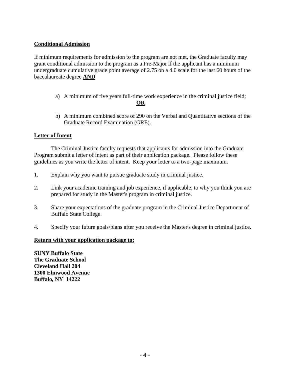#### **Conditional Admission**

If minimum requirements for admission to the program are not met, the Graduate faculty may grant conditional admission to the program as a Pre-Major if the applicant has a minimum undergraduate cumulative grade point average of 2.75 on a 4.0 scale for the last 60 hours of the baccalaureate degree **AND** 

- a) A minimum of five years full-time work experience in the criminal justice field; **OR**
- b) A minimum combined score of 290 on the Verbal and Quantitative sections of the Graduate Record Examination (GRE).

#### **Letter of Intent**

The Criminal Justice faculty requests that applicants for admission into the Graduate Program submit a letter of intent as part of their application package. Please follow these guidelines as you write the letter of intent. Keep your letter to a two-page maximum.

- 1. Explain why you want to pursue graduate study in criminal justice.
- 2. Link your academic training and job experience, if applicable, to why you think you are prepared for study in the Master's program in criminal justice.
- 3. Share your expectations of the graduate program in the Criminal Justice Department of Buffalo State College.
- 4. Specify your future goals/plans after you receive the Master's degree in criminal justice.

#### **Return with your application package to:**

**SUNY Buffalo State The Graduate School Cleveland Hall 204 1300 Elmwood Avenue Buffalo, NY 14222**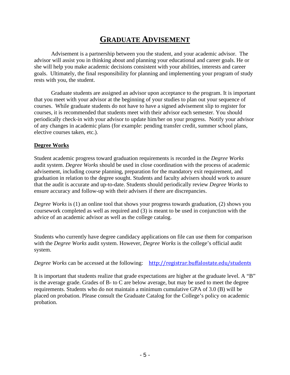### **GRADUATE ADVISEMENT**

Advisement is a partnership between you the student, and your academic advisor. The advisor will assist you in thinking about and planning your educational and career goals. He or she will help you make academic decisions consistent with your abilities, interests and career goals. Ultimately, the final responsibility for planning and implementing your program of study rests with you, the student.

Graduate students are assigned an advisor upon acceptance to the program. It is important that you meet with your advisor at the beginning of your studies to plan out your sequence of courses. While graduate students do not have to have a signed advisement slip to register for courses, it is recommended that students meet with their advisor each semester. You should periodically check-in with your advisor to update him/her on your progress. Notify your advisor of any changes in academic plans (for example: pending transfer credit, summer school plans, elective courses taken, etc.).

#### **Degree Works**

Student academic progress toward graduation requirements is recorded in the *Degree Works* audit system. *Degree Works* should be used in close coordination with the process of academic advisement, including course planning, preparation for the mandatory exit requirement, and graduation in relation to the degree sought. Students and faculty advisers should work to assure that the audit is accurate and up-to-date. Students should periodically review *Degree Works* to ensure accuracy and follow-up with their advisers if there are discrepancies.

*Degree Works* is (1) an online tool that shows your progress towards graduation, (2) shows you coursework completed as well as required and (3) is meant to be used in conjunction with the advice of an academic advisor as well as the college catalog.

Students who currently have degree candidacy applications on file can use them for comparison with the *Degree Works* audit system. However, *Degree Works* is the college's official audit system.

*Degree Works* can be accessed at the following: <http://registrar.buffalostate.edu/students>

It is important that students realize that grade expectations are higher at the graduate level. A "B" is the average grade. Grades of B- to C are below average, but may be used to meet the degree requirements. Students who do not maintain a minimum cumulative GPA of 3.0 (B) will be placed on probation. Please consult the Graduate Catalog for the College's policy on academic probation.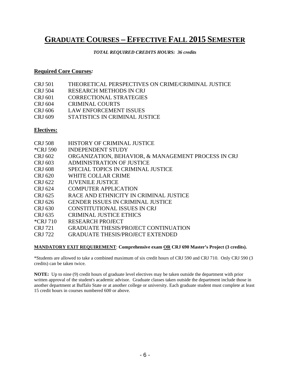### **GRADUATE COURSES – EFFECTIVE FALL 2015 SEMESTER**

#### *TOTAL REQUIRED CREDITS HOURS: 36 credits*

#### **Required Core Courses***:*

- CRJ 501 THEORETICAL PERSPECTIVES ON CRIME/CRIMINAL JUSTICE
- CRJ 504 RESEARCH METHODS IN CRJ
- CRJ 601 CORRECTIONAL STRATEGIES
- CRJ 604 CRIMINAL COURTS
- CRJ 606 LAW ENFORCEMENT ISSUES
- CRJ 609 STATISTICS IN CRIMINAL JUSTICE

#### **Electives:**

| <b>CRJ 508</b>       | HISTORY OF CRIMINAL JUSTICE                                          |
|----------------------|----------------------------------------------------------------------|
| *CRJ 590             | <b>INDEPENDENT STUDY</b>                                             |
| CRJ 602              | ORGANIZATION, BEHAVIOR, & MANAGEMENT PROCESS IN CRJ                  |
| <b>CRJ 603</b>       | <b>ADMINISTRATION OF JUSTICE</b>                                     |
| <b>CRJ 608</b>       | SPECIAL TOPICS IN CRIMINAL JUSTICE                                   |
| <b>CRJ 620</b>       | WHITE COLLAR CRIME                                                   |
| <b>CRJ 622</b>       | <b>JUVENILE JUSTICE</b>                                              |
| <b>CRJ 624</b>       | <b>COMPUTER APPLICATION</b>                                          |
| CRI 625              | RACE AND ETHNICITY IN CRIMINAL JUSTICE                               |
| CRJ 626              | <b>GENDER ISSUES IN CRIMINAL JUSTICE</b>                             |
| CRJ 630              | CONSTITUTIONAL ISSUES IN CRJ                                         |
| CRJ 635              | <b>CRIMINAL JUSTICE ETHICS</b>                                       |
| <i>*</i> CRJ 710     | <b>RESEARCH PROJECT</b>                                              |
| <b>CRJ 721</b>       | <b>GRADUATE THESIS/PROJECT CONTINUATION</b>                          |
| $\alpha$ nt $\alpha$ | $\cap$ LNU $\cap$ DE mundia on $\cap$ in $\cap$ put $\cap$ in $\cap$ |

CRJ 722 GRADUATE THESIS/PROJECT EXTENDED

#### **MANDATORY EXIT REQUIREMENT**: **Comprehensive exam OR CRJ 690 Master's Project (3 credits).**

\*Students are allowed to take a combined maximum of six credit hours of CRJ 590 and CRJ 710. Only CRJ 590 (3 credits) can be taken twice.

**NOTE:** Up to nine (9) credit hours of graduate level electives may be taken outside the department with prior written approval of the student's academic advisor. Graduate classes taken outside the department include those in another department at Buffalo State or at another college or university. Each graduate student must complete at least 15 credit hours in courses numbered 600 or above.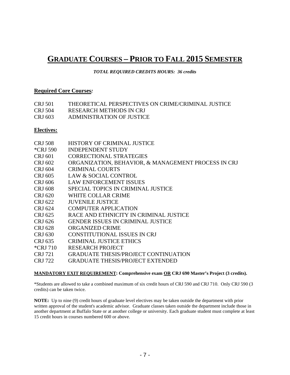### **GRADUATE COURSES – PRIOR TO FALL 2015 SEMESTER**

*TOTAL REQUIRED CREDITS HOURS: 36 credits*

#### **Required Core Courses***:*

| <b>CRJ 501</b> | THEORETICAL PERSPECTIVES ON CRIME/CRIMINAL JUSTICE |
|----------------|----------------------------------------------------|
| <b>CRJ 504</b> | RESEARCH METHODS IN CRJ                            |
| CRJ 603        | ADMINISTRATION OF JUSTICE                          |

#### **Electives:**

| <b>CRI 508</b>  | HISTORY OF CRIMINAL JUSTICE                         |
|-----------------|-----------------------------------------------------|
| *CRJ 590        | <b>INDEPENDENT STUDY</b>                            |
| CRJ 601         | <b>CORRECTIONAL STRATEGIES</b>                      |
| CRJ 602         | ORGANIZATION, BEHAVIOR, & MANAGEMENT PROCESS IN CRJ |
| CRJ 604         | <b>CRIMINAL COURTS</b>                              |
| CRJ 605         | LAW & SOCIAL CONTROL                                |
| CRJ 606         | <b>LAW ENFORCEMENT ISSUES</b>                       |
| CRJ 608         | SPECIAL TOPICS IN CRIMINAL JUSTICE                  |
| <b>CRJ 620</b>  | WHITE COLLAR CRIME                                  |
| CRI 622         | <b>JUVENILE JUSTICE</b>                             |
| CRJ 624         | <b>COMPUTER APPLICATION</b>                         |
| CRJ 625         | RACE AND ETHNICITY IN CRIMINAL JUSTICE              |
| CRJ 626         | <b>GENDER ISSUES IN CRIMINAL JUSTICE</b>            |
| CRJ 628         | ORGANIZED CRIME                                     |
| CRJ 630         | <b>CONSTITUTIONAL ISSUES IN CRJ</b>                 |
| CRI 635         | <b>CRIMINAL JUSTICE ETHICS</b>                      |
| <i>*CRJ 710</i> | <b>RESEARCH PROJECT</b>                             |
| <b>CRJ</b> 721  | <b>GRADUATE THESIS/PROJECT CONTINUATION</b>         |

CRJ 722 GRADUATE THESIS/PROJECT EXTENDED

#### **MANDATORY EXIT REQUIREMENT: Comprehensive exam OR CRJ 690 Master's Project (3 credits).**

\*Students are allowed to take a combined maximum of six credit hours of CRJ 590 and CRJ 710. Only CRJ 590 (3 credits) can be taken twice.

**NOTE:** Up to nine (9) credit hours of graduate level electives may be taken outside the department with prior written approval of the student's academic advisor. Graduate classes taken outside the department include those in another department at Buffalo State or at another college or university. Each graduate student must complete at least 15 credit hours in courses numbered 600 or above.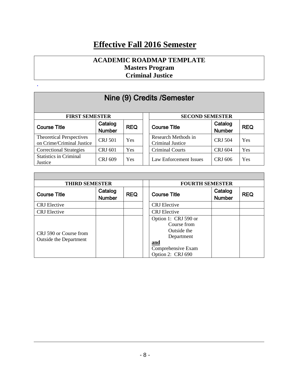### **Effective Fall 2016 Semester**

### **ACADEMIC ROADMAP TEMPLATE Masters Program Criminal Justice**

.

| Nine (9) Credits / Semester                                  |                          |            |  |                                         |                          |            |
|--------------------------------------------------------------|--------------------------|------------|--|-----------------------------------------|--------------------------|------------|
| <b>FIRST SEMESTER</b>                                        |                          |            |  | <b>SECOND SEMESTER</b>                  |                          |            |
| <b>Course Title</b>                                          | Catalog<br><b>Number</b> | <b>REQ</b> |  | <b>Course Title</b>                     | Catalog<br><b>Number</b> | <b>REQ</b> |
| <b>Theoretical Perspectives</b><br>on Crime/Criminal Justice | <b>CRJ 501</b>           | Yes        |  | Research Methods in<br>Criminal Justice | <b>CRJ 504</b>           | <b>Yes</b> |
| <b>Correctional Strategies</b>                               | <b>CRJ 601</b>           | Yes        |  | <b>Criminal Courts</b>                  | <b>CRJ 604</b>           | Yes        |
| <b>Statistics in Criminal</b><br>Justice                     | <b>CRJ 609</b>           | Yes        |  | Law Enforcement Issues                  | CRJ 606                  | Yes        |

| <b>THIRD SEMESTER</b>  |               |                                   | <b>FOURTH SEMESTER</b> |               |            |  |
|------------------------|---------------|-----------------------------------|------------------------|---------------|------------|--|
| <b>Course Title</b>    | Catalog       | <b>REQ</b><br><b>Course Title</b> |                        | Catalog       | <b>REQ</b> |  |
|                        | <b>Number</b> |                                   |                        | <b>Number</b> |            |  |
| <b>CRJ</b> Elective    |               |                                   | <b>CRJ</b> Elective    |               |            |  |
| <b>CRJ</b> Elective    |               |                                   | <b>CRJ</b> Elective    |               |            |  |
|                        |               |                                   | Option 1: CRJ 590 or   |               |            |  |
|                        |               |                                   | Course from            |               |            |  |
| CRJ 590 or Course from |               |                                   | Outside the            |               |            |  |
| Outside the Department |               |                                   | Department             |               |            |  |
|                        |               |                                   | and                    |               |            |  |
|                        |               |                                   | Comprehensive Exam     |               |            |  |
|                        |               |                                   | Option 2: CRJ 690      |               |            |  |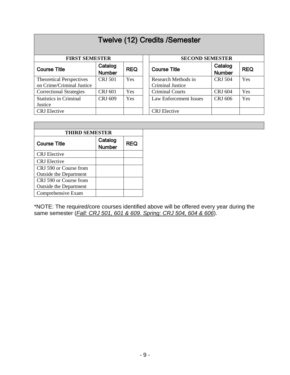# Twelve (12) Credits /Semester

| <b>FIRST SEMESTER</b>                                        |                          |            | <b>SECOND SEMESTER</b>                  |                          |            |  |
|--------------------------------------------------------------|--------------------------|------------|-----------------------------------------|--------------------------|------------|--|
| <b>Course Title</b>                                          | Catalog<br><b>Number</b> | <b>REQ</b> | <b>Course Title</b>                     | Catalog<br><b>Number</b> | <b>REQ</b> |  |
| <b>Theoretical Perspectives</b><br>on Crime/Criminal Justice | <b>CRJ 501</b>           | Yes        | Research Methods in<br>Criminal Justice | <b>CRJ 504</b>           | Yes        |  |
| <b>Correctional Strategies</b>                               | <b>CRJ 601</b>           | Yes        | <b>Criminal Courts</b>                  | <b>CRJ 604</b>           | Yes        |  |
| <b>Statistics in Criminal</b><br>Justice                     | CRJ 609                  | Yes        | <b>Law Enforcement Issues</b>           | <b>CRJ 606</b>           | Yes        |  |
| <b>CRJ</b> Elective                                          |                          |            | <b>CRJ</b> Elective                     |                          |            |  |

|                               | <b>THIRD SEMESTER</b>    |            |  |  |  |  |
|-------------------------------|--------------------------|------------|--|--|--|--|
| <b>Course Title</b>           | Catalog<br><b>Number</b> | <b>REQ</b> |  |  |  |  |
| <b>CRJ</b> Elective           |                          |            |  |  |  |  |
| <b>CRJ</b> Elective           |                          |            |  |  |  |  |
| CRJ 590 or Course from        |                          |            |  |  |  |  |
| <b>Outside the Department</b> |                          |            |  |  |  |  |
| CRJ 590 or Course from        |                          |            |  |  |  |  |
| <b>Outside the Department</b> |                          |            |  |  |  |  |
| Comprehensive Exam            |                          |            |  |  |  |  |

\*NOTE: The required/core courses identified above will be offered every year during the same semester (*Fall: CRJ 501, 601 & 609. Spring: CRJ 504, 604 & 606*).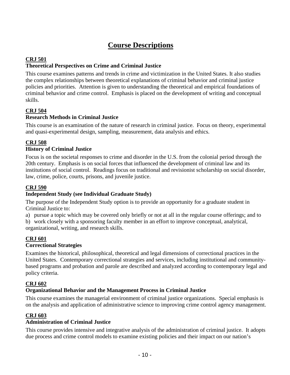### **Course Descriptions**

#### **CRJ 501**

#### **Theoretical Perspectives on Crime and Criminal Justice**

This course examines patterns and trends in crime and victimization in the United States. It also studies the complex relationships between theoretical explanations of criminal behavior and criminal justice policies and priorities. Attention is given to understanding the theoretical and empirical foundations of criminal behavior and crime control. Emphasis is placed on the development of writing and conceptual skills.

#### **CRJ 504**

#### **Research Methods in Criminal Justice**

This course is an examination of the nature of research in criminal justice. Focus on theory, experimental and quasi-experimental design, sampling, measurement, data analysis and ethics.

#### **CRJ 508**

#### **History of Criminal Justice**

Focus is on the societal responses to crime and disorder in the U.S. from the colonial period through the 20th century. Emphasis is on social forces that influenced the development of criminal law and its institutions of social control. Readings focus on traditional and revisionist scholarship on social disorder, law, crime, police, courts, prisons, and juvenile justice.

#### **CRJ 590**

#### **Independent Study (see Individual Graduate Study)**

The purpose of the Independent Study option is to provide an opportunity for a graduate student in Criminal Justice to:

a) pursue a topic which may be covered only briefly or not at all in the regular course offerings; and to

b) work closely with a sponsoring faculty member in an effort to improve conceptual, analytical, organizational, writing, and research skills.

#### **CRJ 601**

#### **Correctional Strategies**

Examines the historical, philosophical, theoretical and legal dimensions of correctional practices in the United States. Contemporary correctional strategies and services, including institutional and communitybased programs and probation and parole are described and analyzed according to contemporary legal and policy criteria.

#### **CRJ 602**

#### **Organizational Behavior and the Management Process in Criminal Justice**

This course examines the managerial environment of criminal justice organizations. Special emphasis is on the analysis and application of administrative science to improving crime control agency management.

#### **CRJ 603**

#### **Administration of Criminal Justice**

This course provides intensive and integrative analysis of the administration of criminal justice. It adopts due process and crime control models to examine existing policies and their impact on our nation's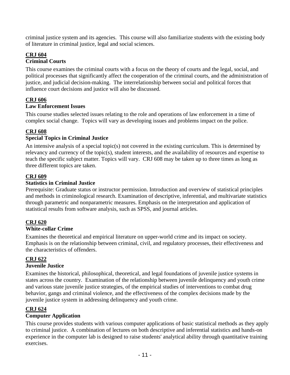criminal justice system and its agencies. This course will also familiarize students with the existing body of literature in criminal justice, legal and social sciences.

#### **CRJ 604 Criminal Courts**

This course examines the criminal courts with a focus on the theory of courts and the legal, social, and political processes that significantly affect the cooperation of the criminal courts, and the administration of justice, and judicial decision-making. The interrelationship between social and political forces that influence court decisions and justice will also be discussed.

### **CRJ 606**

#### **Law Enforcement Issues**

This course studies selected issues relating to the role and operations of law enforcement in a time of complex social change. Topics will vary as developing issues and problems impact on the police.

#### **CRJ 608**

#### **Special Topics in Criminal Justice**

An intensive analysis of a special topic(s) not covered in the existing curriculum. This is determined by relevancy and currency of the topic(s), student interests, and the availability of resources and expertise to teach the specific subject matter. Topics will vary. CRJ 608 may be taken up to three times as long as three different topics are taken.

#### **CRJ 609**

#### **Statistics in Criminal Justice**

Prerequisite: Graduate status or instructor permission. Introduction and overview of statistical principles and methods in criminological research. Examination of descriptive, inferential, and multivariate statistics through parametric and nonparametric measures. Emphasis on the interpretation and application of statistical results from software analysis, such as SPSS, and journal articles.

#### **CRJ 620 White-collar Crime**

Examines the theoretical and empirical literature on upper-world crime and its impact on society. Emphasis is on the relationship between criminal, civil, and regulatory processes, their effectiveness and the characteristics of offenders.

#### **CRJ 622 Juvenile Justice**

#### Examines the historical, philosophical, theoretical, and legal foundations of juvenile justice systems in states across the country. Examination of the relationship between juvenile delinquency and youth crime and various state juvenile justice strategies, of the empirical studies of interventions to combat drug behavior, gangs and criminal violence, and the effectiveness of the complex decisions made by the juvenile justice system in addressing delinquency and youth crime.

#### **CRJ 624**

#### **Computer Application**

This course provides students with various computer applications of basic statistical methods as they apply to criminal justice. A combination of lectures on both descriptive and inferential statistics and hands-on experience in the computer lab is designed to raise students' analytical ability through quantitative training exercises.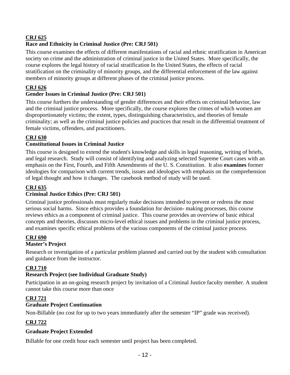#### **CRJ 625 Race and Ethnicity in Criminal Justice (Pre: CRJ 501)**

This course examines the effects of different manifestations of racial and ethnic stratification in American society on crime and the administration of criminal justice in the United States. More specifically, the course explores the legal history of racial stratification In the United States, the effects of racial stratification on the criminality of minority groups, and the differential enforcement of the law against members of minority groups at different phases of the criminal justice process.

#### **CRJ 626**

#### **Gender Issues in Criminal Justice (Pre: CRJ 501)**

This course furthers the understanding of gender differences and their effects on criminal behavior, law and the criminal justice process. More specifically, the course explores the crimes of which women are disproportionately victims; the extent, types, distinguishing characteristics, and theories of female criminality; as well as the criminal justice policies and practices that result in the differential treatment of female victims, offenders, and practitioners.

#### **CRJ 630**

#### **Constitutional Issues in Criminal Justice**

This course is designed to extend the student's knowledge and skills in legal reasoning, writing of briefs, and legal research. Study will consist of identifying and analyzing selected Supreme Court cases with an emphasis on the First, Fourth, and Fifth Amendments of the U. S. Constitution. It also **examines** former ideologies for comparison with current trends, issues and ideologies with emphasis on the comprehension of legal thought and how it changes. The casebook method of study will be used.

#### **CRJ 635**

#### **Criminal Justice Ethics (Pre: CRJ 501)**

Criminal justice professionals must regularly make decisions intended to prevent or redress the most serious social harms. Since ethics provides a foundation for decision- making processes, this course reviews ethics as a component of criminal justice. This course provides an overview of basic ethical concepts and theories, discusses micro-level ethical issues and problems in the criminal justice process, and examines specific ethical problems of the various components of the criminal justice process.

#### **CRJ 690**

#### **Master's Project**

Research or investigation of a particular problem planned and carried out by the student with consultation and guidance from the instructor.

#### **CRJ 710**

#### **Research Project (see Individual Graduate Study)**

Participation in an on-going research project by invitation of a Criminal Justice faculty member. A student cannot take this course more than once

#### **CRJ 721**

#### **Graduate Project Continuation**

Non-Billable (no cost for up to two years immediately after the semester "IP" grade was received).

#### **CRJ 722**

#### **Graduate Project Extended**

Billable for one credit hour each semester until project has been completed.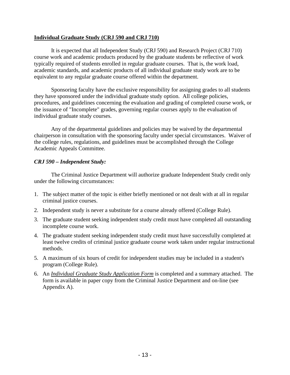#### **Individual Graduate Study (CRJ 590 and CRJ 710)**

It is expected that all Independent Study (CRJ 590) and Research Project (CRJ 710) course work and academic products produced by the graduate students be reflective of work typically required of students enrolled in regular graduate courses. That is, the work load, academic standards, and academic products of all individual graduate study work are to be equivalent to any regular graduate course offered within the department.

Sponsoring faculty have the exclusive responsibility for assigning grades to all students they have sponsored under the individual graduate study option. All college policies, procedures, and guidelines concerning the evaluation and grading of completed course work, or the issuance of "Incomplete" grades, governing regular courses apply to the evaluation of individual graduate study courses.

Any of the departmental guidelines and policies may be waived by the departmental chairperson in consultation with the sponsoring faculty under special circumstances. Waiver of the college rules, regulations, and guidelines must be accomplished through the College Academic Appeals Committee.

#### *CRJ 590 – Independent Study:*

The Criminal Justice Department will authorize graduate Independent Study credit only under the following circumstances:

- 1. The subject matter of the topic is either briefly mentioned or not dealt with at all in regular criminal justice courses.
- 2. Independent study is never a substitute for a course already offered (College Rule).
- 3. The graduate student seeking independent study credit must have completed all outstanding incomplete course work.
- 4. The graduate student seeking independent study credit must have successfully completed at least twelve credits of criminal justice graduate course work taken under regular instructional methods.
- 5. A maximum of six hours of credit for independent studies may be included in a student's program (College Rule).
- 6. An *Individual Graduate Study Application Form* is completed and a summary attached. The form is available in paper copy from the Criminal Justice Department and on-line (see Appendix A).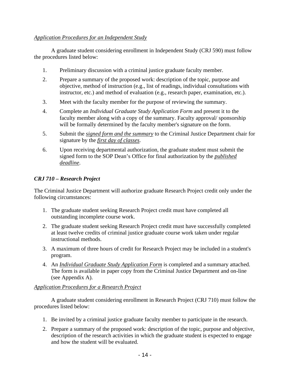#### *Application Procedures for an Independent Study*

A graduate student considering enrollment in Independent Study (CRJ 590) must follow the procedures listed below:

- 1. Preliminary discussion with a criminal justice graduate faculty member.
- 2. Prepare a summary of the proposed work: description of the topic, purpose and objective, method of instruction (e.g., list of readings, individual consultations with instructor, etc.) and method of evaluation (e.g., research paper, examination, etc.).
- 3. Meet with the faculty member for the purpose of reviewing the summary.
- 4. Complete an *Individual Graduate Study Application Form* and present it to the faculty member along with a copy of the summary. Faculty approval/ sponsorship will be formally determined by the faculty member's signature on the form.
- 5. Submit the *signed form and the summary* to the Criminal Justice Department chair for signature by the *first day of classes*.
- 6. Upon receiving departmental authorization, the graduate student must submit the signed form to the SOP Dean's Office for final authorization by the *published deadline*.

#### *CRJ 710 – Research Project*

The Criminal Justice Department will authorize graduate Research Project credit only under the following circumstances:

- 1. The graduate student seeking Research Project credit must have completed all outstanding incomplete course work.
- 2. The graduate student seeking Research Project credit must have successfully completed at least twelve credits of criminal justice graduate course work taken under regular instructional methods.
- 3. A maximum of three hours of credit for Research Project may be included in a student's program.
- 4. An *Individual Graduate Study Application Form* is completed and a summary attached. The form is available in paper copy from the Criminal Justice Department and on-line (see Appendix A).

#### *Application Procedures for a Research Project*

A graduate student considering enrollment in Research Project (CRJ 710) must follow the procedures listed below:

- 1. Be invited by a criminal justice graduate faculty member to participate in the research.
- 2. Prepare a summary of the proposed work: description of the topic, purpose and objective, description of the research activities in which the graduate student is expected to engage and how the student will be evaluated.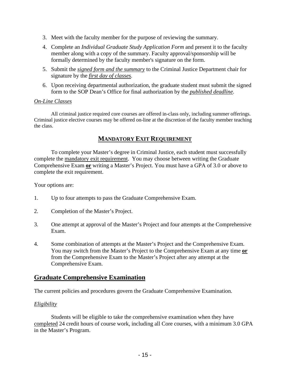- 3. Meet with the faculty member for the purpose of reviewing the summary.
- 4. Complete an *Individual Graduate Study Application Form* and present it to the faculty member along with a copy of the summary. Faculty approval/sponsorship will be formally determined by the faculty member's signature on the form.
- 5. Submit the *signed form and the summary* to the Criminal Justice Department chair for signature by the *first day of classes*.
- 6. Upon receiving departmental authorization, the graduate student must submit the signed form to the SOP Dean's Office for final authorization by the *published deadline*.

#### *On-Line Classes*

All criminal justice required core courses are offered in-class only, including summer offerings. Criminal justice elective courses may be offered on-line at the discretion of the faculty member teaching the class.

#### **MANDATORY EXIT REQUIREMENT**

To complete your Master's degree in Criminal Justice, each student must successfully complete the mandatory exit requirement. You may choose between writing the Graduate Comprehensive Exam **or** writing a Master's Project. You must have a GPA of 3.0 or above to complete the exit requirement.

Your options are:

- 1. Up to four attempts to pass the Graduate Comprehensive Exam.
- 2. Completion of the Master's Project.
- 3. One attempt at approval of the Master's Project and four attempts at the Comprehensive Exam.
- 4. Some combination of attempts at the Master's Project and the Comprehensive Exam. You may switch from the Master's Project to the Comprehensive Exam at any time **or** from the Comprehensive Exam to the Master's Project after any attempt at the Comprehensive Exam.

#### **Graduate Comprehensive Examination**

The current policies and procedures govern the Graduate Comprehensive Examination.

#### *Eligibility*

Students will be eligible to take the comprehensive examination when they have completed 24 credit hours of course work, including all Core courses, with a minimum 3.0 GPA in the Master's Program.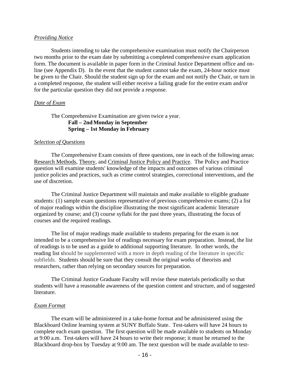#### *Providing Notice*

Students intending to take the comprehensive examination must notify the Chairperson two months prior to the exam date by submitting a completed comprehensive exam application form. The document is available in paper form in the Criminal Justice Department office and online (see Appendix D). In the event that the student cannot take the exam, 24-hour notice must be given to the Chair. Should the student sign up for the exam and not notify the Chair, or turn in a completed response, the student will either receive a failing grade for the entire exam and/or for the particular question they did not provide a response.

#### *Date of Exam*

#### The Comprehensive Examination are given twice a year. **Fall – 2nd Monday in September Spring – 1st Monday in February**

#### *Selection of Questions*

The Comprehensive Exam consists of three questions, one in each of the following areas: Research Methods, Theory, and Criminal Justice Policy and Practice. The Policy and Practice question will examine students' knowledge of the impacts and outcomes of various criminal justice policies and practices, such as crime control strategies, correctional interventions, and the use of discretion.

The Criminal Justice Department will maintain and make available to eligible graduate students: (1) sample exam questions representative of previous comprehensive exams; (2) a list of major readings within the discipline illustrating the most significant academic literature organized by course; and (3) course syllabi for the past three years, illustrating the focus of courses and the required readings.

The list of major readings made available to students preparing for the exam is not intended to be a comprehensive list of readings necessary for exam preparation. Instead, the list of readings is to be used as a guide to additional supporting literature. In other words, the reading list should be supplemented with a more in depth reading of the literature in specific subfields. Students should be sure that they consult the original works of theorists and researchers, rather than relying on secondary sources for preparation.

The Criminal Justice Graduate Faculty will revise these materials periodically so that students will have a reasonable awareness of the question content and structure, and of suggested literature.

#### *Exam Format*

The exam will be administered in a take-home format and be administered using the Blackboard Online learning system at SUNY Buffalo State. Test-takers will have 24 hours to complete each exam question. The first question will be made available to students on Monday at 9:00 a.m. Test-takers will have 24 hours to write their response; it must be returned to the Blackboard drop-box by Tuesday at 9:00 am. The next question will be made available to test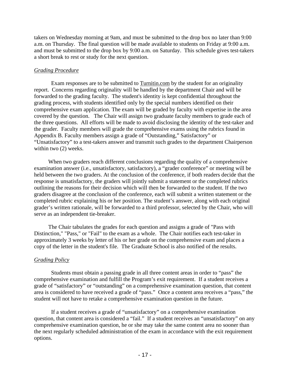takers on Wednesday morning at 9am, and must be submitted to the drop box no later than 9:00 a.m. on Thursday. The final question will be made available to students on Friday at 9:00 a.m. and must be submitted to the drop box by 9:00 a.m. on Saturday. This schedule gives test-takers a short break to rest or study for the next question.

#### *Grading Procedure*

Exam responses are to be submitted to Turnitin.com by the student for an originality report. Concerns regarding originality will be handled by the department Chair and will be forwarded to the grading faculty. The student's identity is kept confidential throughout the grading process, with students identified only by the special numbers identified on their comprehensive exam application. The exam will be graded by faculty with expertise in the area covered by the question. The Chair will assign two graduate faculty members to grade each of the three questions. All efforts will be made to avoid disclosing the identity of the test-taker and the grader. Faculty members will grade the comprehensive exams using the rubrics found in Appendix B. Faculty members assign a grade of "Outstanding," Satisfactory" or "Unsatisfactory" to a test-takers answer and transmit such grades to the department Chairperson within two (2) weeks.

 When two graders reach different conclusions regarding the quality of a comprehensive examination answer (i.e., unsatisfactory, satisfactory), a "grader conference" or meeting will be held between the two graders. At the conclusion of the conference, if both readers decide that the response is unsatisfactory, the graders will jointly submit a statement or the completed rubrics outlining the reasons for their decision which will then be forwarded to the student. If the two graders disagree at the conclusion of the conference, each will submit a written statement or the completed rubric explaining his or her position. The student's answer, along with each original grader's written rationale, will be forwarded to a third professor, selected by the Chair, who will serve as an independent tie-breaker.

 The Chair tabulates the grades for each question and assigns a grade of "Pass with Distinction," "Pass," or "Fail" to the exam as a whole. The Chair notifies each test-taker in approximately 3 weeks by letter of his or her grade on the comprehensive exam and places a copy of the letter in the student's file. The Graduate School is also notified of the results.

#### *Grading Policy*

Students must obtain a passing grade in all three content areas in order to "pass" the comprehensive examination and fulfill the Program's exit requirement. If a student receives a grade of "satisfactory" or "outstanding" on a comprehensive examination question, that content area is considered to have received a grade of "pass." Once a content area receives a "pass," the student will not have to retake a comprehensive examination question in the future.

If a student receives a grade of "unsatisfactory" on a comprehensive examination question, that content area is considered a "fail." If a student receives an "unsatisfactory" on any comprehensive examination question, he or she may take the same content area no sooner than the next regularly scheduled administration of the exam in accordance with the exit requirement options.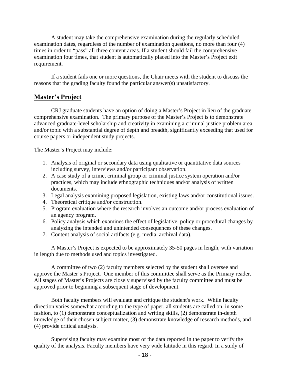A student may take the comprehensive examination during the regularly scheduled examination dates, regardless of the number of examination questions, no more than four (4) times in order to "pass" all three content areas. If a student should fail the comprehensive examination four times, that student is automatically placed into the Master's Project exit requirement.

If a student fails one or more questions, the Chair meets with the student to discuss the reasons that the grading faculty found the particular answer(s) unsatisfactory.

#### **Master's Project**

CRJ graduate students have an option of doing a Master's Project in lieu of the graduate comprehensive examination. The primary purpose of the Master's Project is to demonstrate advanced graduate-level scholarship and creativity in examining a criminal justice problem area and/or topic with a substantial degree of depth and breadth, significantly exceeding that used for course papers or independent study projects.

The Master's Project may include:

- 1. Analysis of original or secondary data using qualitative or quantitative data sources including survey, interviews and/or participant observation.
- 2. A case study of a crime, criminal group or criminal justice system operation and/or practices, which may include ethnographic techniques and/or analysis of written documents.
- 3. Legal analysis examining proposed legislation, existing laws and/or constitutional issues.
- 4. Theoretical critique and/or construction.
- 5. Program evaluation where the research involves an outcome and/or process evaluation of an agency program.
- 6. Policy analysis which examines the effect of legislative, policy or procedural changes by analyzing the intended and unintended consequences of these changes.
- 7. Content analysis of social artifacts (e.g. media, archival data).

A Master's Project is expected to be approximately 35-50 pages in length, with variation in length due to methods used and topics investigated.

A committee of two (2) faculty members selected by the student shall oversee and approve the Master's Project. One member of this committee shall serve as the Primary reader. All stages of Master's Projects are closely supervised by the faculty committee and must be approved prior to beginning a subsequent stage of development.

Both faculty members will evaluate and critique the student's work. While faculty direction varies somewhat according to the type of paper, all students are called on, in some fashion, to (1) demonstrate conceptualization and writing skills, (2) demonstrate in-depth knowledge of their chosen subject matter, (3) demonstrate knowledge of research methods, and (4) provide critical analysis.

Supervising faculty may examine most of the data reported in the paper to verify the quality of the analysis. Faculty members have very wide latitude in this regard. In a study of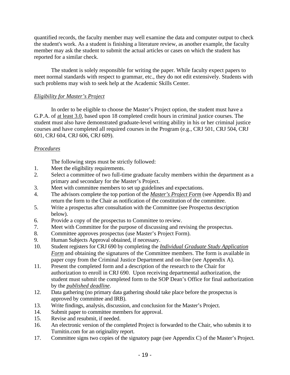quantified records, the faculty member may well examine the data and computer output to check the student's work. As a student is finishing a literature review, as another example, the faculty member may ask the student to submit the actual articles or cases on which the student has reported for a similar check.

The student is solely responsible for writing the paper. While faculty expect papers to meet normal standards with respect to grammar, etc., they do not edit extensively. Students with such problems may wish to seek help at the Academic Skills Center.

#### *Eligibility for Master's Project*

In order to be eligible to choose the Master's Project option, the student must have a G.P.A. of at least 3.0, based upon 18 completed credit hours in criminal justice courses. The student must also have demonstrated graduate-level writing ability in his or her criminal justice courses and have completed all required courses in the Program (e.g., CRJ 501, CRJ 504, CRJ 601, CRJ 604, CRJ 606, CRJ 609).

#### *Procedures*

The following steps must be strictly followed:

- 1. Meet the eligibility requirements.
- 2. Select a committee of two full-time graduate faculty members within the department as a primary and secondary for the Master's Project.
- 3. Meet with committee members to set up guidelines and expectations.
- 4. The advisors complete the top portion of the *Master's Project Form* (see Appendix B) and return the form to the Chair as notification of the constitution of the committee.
- 5. Write a prospectus after consultation with the Committee (see Prospectus description below).
- 6. Provide a copy of the prospectus to Committee to review.
- 7. Meet with Committee for the purpose of discussing and revising the prospectus.
- 8. Committee approves prospectus (use Master's Project Form).
- 9. Human Subjects Approval obtained, if necessary.
- 10. Student registers for CRJ 690 by completing the *Individual Graduate Study Application Form* and obtaining the signatures of the Committee members. The form is available in paper copy from the Criminal Justice Department and on-line (see Appendix A).
- 11. Present the completed form and a description of the research to the Chair for authorization to enroll in CRJ 690. Upon receiving departmental authorization, the student must submit the completed form to the SOP Dean's Office for final authorization by the *published deadline*.
- 12. Data gathering (no primary data gathering should take place before the prospectus is approved by committee and IRB).
- 13. Write findings, analysis, discussion, and conclusion for the Master's Project.
- 14. Submit paper to committee members for approval.
- 15. Revise and resubmit, if needed.
- 16. An electronic version of the completed Project is forwarded to the Chair, who submits it to Turnitin.com for an originality report.
- 17. Committee signs two copies of the signatory page (see Appendix C) of the Master's Project.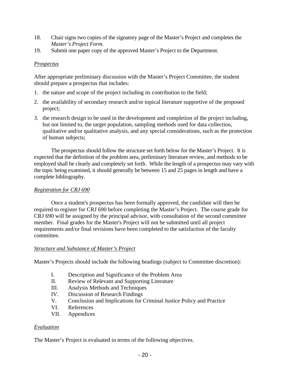- 18. Chair signs two copies of the signatory page of the Master's Project and completes the *Master's Project Form*.
- 19. Submit one paper copy of the approved Master's Project to the Department.

#### *Prospectus*

After appropriate preliminary discussion with the Master's Project Committee, the student should prepare a prospectus that includes:

- 1. the nature and scope of the project including its contribution to the field;
- 2. the availability of secondary research and/or topical literature supportive of the proposed project;
- 3. the research design to be used in the development and completion of the project including, but not limited to, the target population, sampling methods used for data collection, qualitative and/or qualitative analysis, and any special considerations, such as the protection of human subjects;

The prospectus should follow the structure set forth below for the Master's Project. It is expected that the definition of the problem area, preliminary literature review, and methods to be employed shall be clearly and completely set forth. While the length of a prospectus may vary with the topic being examined, it should generally be between 15 and 25 pages in length and have a complete bibliography.

#### *Registration for CRJ 690*

Once a student's prospectus has been formally approved, the candidate will then be required to register for CRJ 690 before completing the Master's Project. The course grade for CRJ 690 will be assigned by the principal advisor, with consultation of the second committee member. Final grades for the Master's Project will not be submitted until all project requirements and/or final revisions have been completed to the satisfaction of the faculty committee.

#### *Structure and Substance of Master's Project*

Master's Projects should include the following headings (subject to Committee discretion):

- I. Description and Significance of the Problem Area
- II. Review of Relevant and Supporting Literature
- III. Analysis Methods and Techniques
- IV. Discussion of Research Findings
- V. Conclusion and Implications for Criminal Justice Policy and Practice
- VI. References
- VII. Appendices

#### *Evaluation*

The Master's Project is evaluated in terms of the following objectives.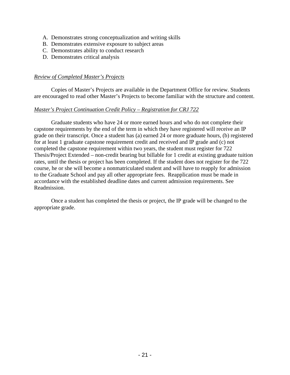- A. Demonstrates strong conceptualization and writing skills
- B. Demonstrates extensive exposure to subject areas
- C. Demonstrates ability to conduct research
- D. Demonstrates critical analysis

#### *Review of Completed Master's Projects*

Copies of Master's Projects are available in the Department Office for review. Students are encouraged to read other Master's Projects to become familiar with the structure and content.

#### *Master's Project Continuation Credit Policy – Registration for CRJ 722*

Graduate students who have 24 or more earned hours and who do not complete their capstone requirements by the end of the term in which they have registered will receive an IP grade on their transcript. Once a student has (a) earned 24 or more graduate hours, (b) registered for at least 1 graduate capstone requirement credit and received and IP grade and (c) not completed the capstone requirement within two years, the student must register for 722 Thesis/Project Extended – non-credit bearing but billable for 1 credit at existing graduate tuition rates, until the thesis or project has been completed. If the student does not register for the 722 course, he or she will become a nonmatriculated student and will have to reapply for admission to the Graduate School and pay all other appropriate fees. Reapplication must be made in accordance with the established deadline dates and current admission requirements. See Readmission.

Once a student has completed the thesis or project, the IP grade will be changed to the appropriate grade.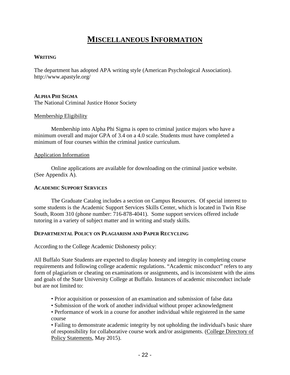### **MISCELLANEOUS INFORMATION**

#### **WRITING**

The department has adopted APA writing style (American Psychological Association). http://www.apastyle.org/

#### **ALPHA PHI SIGMA**

The National Criminal Justice Honor Society

#### Membership Eligibility

Membership into Alpha Phi Sigma is open to criminal justice majors who have a minimum overall and major GPA of 3.4 on a 4.0 scale. Students must have completed a minimum of four courses within the criminal justice curriculum.

#### Application Information

Online applications are available for downloading on the criminal justice website. (See Appendix A).

#### **ACADEMIC SUPPORT SERVICES**

The Graduate Catalog includes a section on Campus Resources. Of special interest to some students is the Academic Support Services Skills Center, which is located in Twin Rise South, Room 310 (phone number: 716-878-4041). Some support services offered include tutoring in a variety of subject matter and in writing and study skills.

#### **DEPARTMENTAL POLICY ON PLAGIARISM AND PAPER RECYCLING**

According to the College Academic Dishonesty policy:

All Buffalo State Students are expected to display honesty and integrity in completing course requirements and following college academic regulations. "Academic misconduct" refers to any form of plagiarism or cheating on examinations or assignments, and is inconsistent with the aims and goals of the State University College at Buffalo. Instances of academic misconduct include but are not limited to:

- Prior acquisition or possession of an examination and submission of false data
- Submission of the work of another individual without proper acknowledgment
- Performance of work in a course for another individual while registered in the same course

• Failing to demonstrate academic integrity by not upholding the individual's basic share of responsibility for collaborative course work and/or assignments. (College Directory of Policy Statements, May 2015).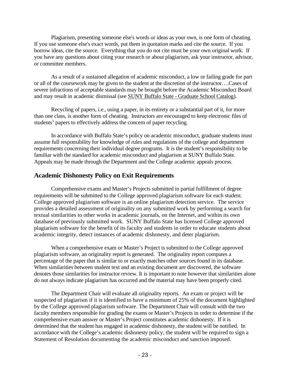Plagiarism, presenting someone else's words or ideas as your own, is one form of cheating. If you use someone else's exact words, put them in quotation marks and cite the source. If you borrow ideas, cite the source. Everything that you do not cite must be your own original work. If you have any questions about citing your research or about plagiarism, ask your instructor, advisor, or committee members.

As a result of a sustained allegation of academic misconduct, a low or failing grade for part or all of the coursework may be given to the student at the discretion of the instructor….Cases of severe infractions of acceptable standards may be brought before the Academic Misconduct Board and may result in academic dismissal (see SUNY Buffalo State - Graduate School Catalog).

Recycling of papers, i.e., using a paper, in its entirety or a substantial part of it, for more than one class, is another form of cheating. Instructors are encouraged to keep electronic files of students' papers to effectively address the concern of paper recycling.

In accordance with Buffalo State's policy on academic misconduct, graduate students must assume full responsibility for knowledge of rules and regulations of the college and department requirements concerning their individual degree programs. It is the student's responsibility to be familiar with the standard for academic misconduct and plagiarism at SUNY Buffalo State. Appeals may be made through the Department and the College academic appeals process.

#### **Academic Dishonesty Policy on Exit Requirements**

Comprehensive exams and Master's Projects submitted in partial fulfillment of degree requirements will be submitted to the College approved plagiarism software for each student. College approved plagiarism software is an online plagiarism detection service. The service provides a detailed assessment of originality on any submitted work by performing a search for textual similarities to other works in academic journals, on the Internet, and within its own database of previously submitted work. SUNY Buffalo State has licensed College approved plagiarism software for the benefit of its faculty and students in order to educate students about academic integrity, detect instances of academic dishonesty, and deter plagiarism.

When a comprehensive exam or Master's Project is submitted to the College approved plagiarism software, an originality report is generated. The originality report computes a percentage of the paper that is similar to or exactly matches other sources found in its database. When similarities between student text and an existing document are discovered, the software denotes those similarities for instructor review. It is important to note however that similarities alone do not always indicate plagiarism has occurred and the material may have been properly cited.

The Department Chair will evaluate all originality reports. An exam or project will be suspected of plagiarism if it is identified to have a minimum of 25% of the document highlighted by the College approved plagiarism software. The Department Chair will consult with the two faculty members responsible for grading the exams or Master's Projects in order to determine if the comprehensive exam answer or Master's Project constitutes academic dishonesty. If it is determined that the student has engaged in academic dishonesty, the student will be notified. In accordance with the College's academic dishonesty policy, the student will be required to sign a Statement of Resolution documenting the academic misconduct and sanction imposed.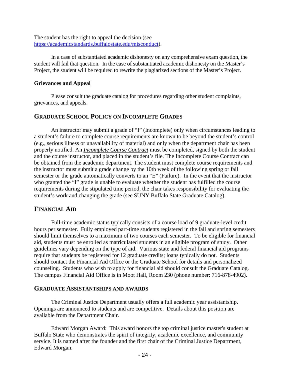The student has the right to appeal the decision (see [https://academicstandards.buffalostate.edu/misconduct\)](https://academicstandards.buffalostate.edu/misconduct).

In a case of substantiated academic dishonesty on any comprehensive exam question, the student will fail that question. In the case of substantiated academic dishonesty on the Master's Project, the student will be required to rewrite the plagiarized sections of the Master's Project.

#### **Grievances and Appeal**

Please consult the graduate catalog for procedures regarding other student complaints, grievances, and appeals.

#### **GRADUATE SCHOOL POLICY ON INCOMPLETE GRADES**

An instructor may submit a grade of "I" (Incomplete) only when circumstances leading to a student's failure to complete course requirements are known to be beyond the student's control (e.g., serious illness or unavailability of material) and only when the department chair has been properly notified. An *Incomplete Course Contract* must be completed, signed by both the student and the course instructor, and placed in the student's file. The Incomplete Course Contract can be obtained from the academic department. The student must complete course requirements and the instructor must submit a grade change by the 10th week of the following spring or fall semester or the grade automatically converts to an "E" (Failure). In the event that the instructor who granted the "I" grade is unable to evaluate whether the student has fulfilled the course requirements during the stipulated time period, the chair takes responsibility for evaluating the student's work and changing the grade (see SUNY Buffalo State Graduate Catalog).

#### **FINANCIAL AID**

Full-time academic status typically consists of a course load of 9 graduate-level credit hours per semester. Fully employed part-time students registered in the fall and spring semesters should limit themselves to a maximum of two courses each semester. To be eligible for financial aid, students must be enrolled as matriculated students in an eligible program of study. Other guidelines vary depending on the type of aid. Various state and federal financial aid programs require that students be registered for 12 graduate credits; loans typically do not. Students should contact the [Financial Aid Office](http://www.buffalostate.edu/financialaid/) or the [Graduate School](http://www.buffalostate.edu/graduateschool/contact.xml) for details and personalized counseling. Students who wish to apply for financial aid should consult the Graduate Catalog. The campus Financial Aid Office is in Moot Hall, Room 230 (phone number: 716-878-4902).

#### **GRADUATE ASSISTANTSHIPS AND AWARDS**

The Criminal Justice Department usually offers a full academic year assistantship. Openings are announced to students and are competitive. Details about this position are available from the Department Chair.

Edward Morgan Award: This award honors the top criminal justice master's student at Buffalo State who demonstrates the spirit of integrity, academic excellence, and community service. It is named after the founder and the first chair of the Criminal Justice Department, Edward Morgan.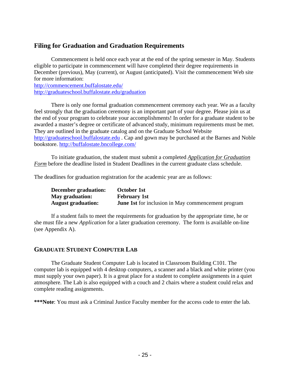#### **Filing for Graduation and Graduation Requirements**

Commencement is held once each year at the end of the spring semester in May. Students eligible to participate in commencement will have completed their degree requirements in December (previous), May (current), or August (anticipated). Visit the commencement Web site for more information:

<http://commencement.buffalostate.edu/> <http://graduateschool.buffalostate.edu/graduation>

There is only one formal graduation commencement ceremony each year. We as a faculty feel strongly that the graduation ceremony is an important part of your degree. Please join us at the end of your program to celebrate your accomplishments! In order for a graduate student to be awarded a master's degree or certificate of advanced study, minimum requirements must be met. They are outlined in the graduate catalog and on the Graduate School Website [http://graduateschool.buffalostate.edu](http://graduateschool.buffalostate.edu/) . Cap and gown may be purchased at the Barnes and Noble bookstore.<http://buffalostate.bncollege.com/>

To initiate graduation, the student must submit a completed *Application for Graduation Form* before the deadline listed in Student Deadlines in the current graduate class schedule.

The deadlines for graduation registration for the academic year are as follows:

| December graduation:      | October 1st                                               |
|---------------------------|-----------------------------------------------------------|
| <b>May graduation:</b>    | <b>February 1st</b>                                       |
| <b>August graduation:</b> | <b>June 1st</b> for inclusion in May commencement program |

If a student fails to meet the requirements for graduation by the appropriate time, he or she must file a new *Application* for a later graduation ceremony. The form is available on-line (see Appendix A).

#### **GRADUATE STUDENT COMPUTER LAB**

The Graduate Student Computer Lab is located in Classroom Building C101. The computer lab is equipped with 4 desktop computers, a scanner and a black and white printer (you must supply your own paper). It is a great place for a student to complete assignments in a quiet atmosphere. The Lab is also equipped with a couch and 2 chairs where a student could relax and complete reading assignments.

**\*\*\*Note**: You must ask a Criminal Justice Faculty member for the access code to enter the lab.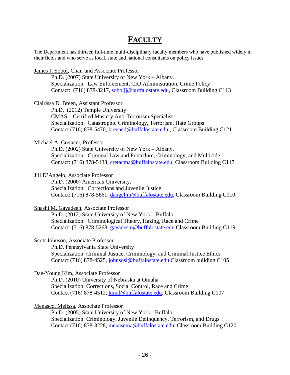### **FACULTY**

The Department has thirteen full-time multi-disciplinary faculty members who have published widely in their fields and who serve as local, state and national consultants on policy issues.

James J. Sobol, Chair and Associate Professor

Ph.D. (2007) State University of New York – Albany. Specialization: Law Enforcement, CRJ Administration, Crime Policy Contact: (716) 878-3217, [soboljj@buffalostate.edu,](mailto:soboljj@buffalostate.edu) Classroom Building C113

Clairissa D. Breen, Assistant Professor

Ph.D. (2012) Temple University CMAS – Certified Mastery Anti-Terrorism Specialist Specialization: Catastrophic Criminology, Terrorism, Hate Groups Contact (716) 878-5470, [breencd@buffalostate.edu](mailto:breencd@buffalostate.edu) , Classroom Building C121

#### Michael A. Cretacci, Professor

Ph.D. (2002) State University of New York – Albany. Specialization: Criminal Law and Procedure, Criminology, and Multicide Contact: (716) 878-5133, [cretacma@buffalostate.edu,](mailto:cretacma@buffalostate.edu) Classroom Building C117

#### Jill D'Angelo, Associate Professor

Ph.D. (2000) American University. Specialization: Corrections and Juvenile Justice Contact: (716) 878-5661, [dangeljm@buffalostate.edu,](mailto:dangeljm@buffalostate.edu) Classroom Building C110

#### Shashi M. Gayadeen, Associate Professor

Ph.D. (2012) State University of New York – Buffalo Specialization: Criminological Theory, Hazing, Race and Crime Contact: (716) 878-5268, [gayadesm@buffalostate.edu](mailto:gayadesm@buffalostate.edu) Classroom Building C119

#### Scott Johnson, Associate Professor

Ph.D. Pennsylvania State University Specialization: Criminal Justice, Criminology, and Criminal Justice Ethics Contact (716) 878-4525, [johnsosl@buffalostate.edu](mailto:johnsosl@buffalostate.edu) Classroom building C105

#### Dae-Young Kim, Associate Professor

Ph.D. (2010) University of Nebraska at Omaha Specialization: Corrections, Social Control, Race and Crime Contact (716) 878-4512, [kimd@buffalostate.edu,](mailto:kimd@buffalostate.edu) Classroom Building C107

#### Menasco, Melissa, Associate Professor

Ph.D. (2005) State University of New York - Buffalo Specialization: Criminology, Juvenile Delinquency, Terrorism, and Drugs Contact (716) 878-3228, [menascma@buffalostate.edu,](mailto:menascma@buffalostate.edu) Classroom Building C120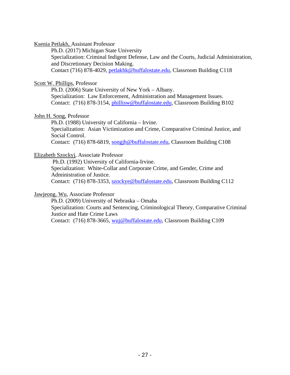Ksenia Petlakh, Assistant Professor

Ph.D. (2017) Michigan State University Specialization: Criminal Indigent Defense, Law and the Courts, Judicial Administration, and Discretionary Decision Making. Contact (716) 878-4029, [petlakhk@buffalostate.edu,](mailto:petlakhk@buffalostate.edu) Classroom Building C118

#### Scott W. Phillips, Professor

Ph.D. (2006) State University of New York – Albany. Specialization: Law Enforcement, Administration and Management Issues. Contact: (716) 878-3154, [phillisw@buffalostate.edu,](mailto:phillisw@buffalostate.edu) Classroom Building B102

#### John H. Song, Professor

Ph.D. (1988) University of California – Irvine. Specialization: Asian Victimization and Crime, Comparative Criminal Justice, and Social Control. Contact: (716) 878-6819, [songjh@buffalostate.edu,](mailto:songjh@buffalostate.edu) Classroom Building C108

#### Elizabeth Szockyj, Associate Professor

Ph.D. (1992) University of California-Irvine. Specialization: White-Collar and Corporate Crime, and Gender, Crime and Administration of Justice. Contact: (716) 878-3353, [szockye@buffalostate.edu,](mailto:szockye@buffalostate.edu) Classroom Building C112

Jawjeong. Wu, Associate Professor

Ph.D. (2009) University of Nebraska – Omaha Specialization: Courts and Sentencing, Criminological Theory, Comparative Criminal Justice and Hate Crime Laws Contact: (716) 878-3665, [wuj@buffalostate.edu,](mailto:wuj@buffalostate.edu) Classroom Building C109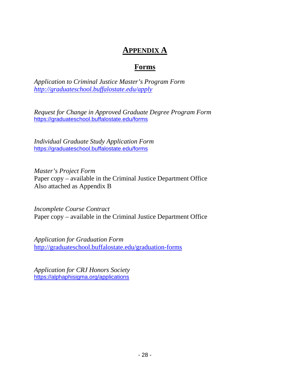### **APPENDIX A**

### **Forms**

*Application to Criminal Justice Master's Program Form <http://graduateschool.buffalostate.edu/apply>*

*Request for Change in Approved Graduate Degree Program Form* <https://graduateschool.buffalostate.edu/forms>

*Individual Graduate Study Application Form* <https://graduateschool.buffalostate.edu/forms>

*Master's Project Form*  Paper copy – available in the Criminal Justice Department Office Also attached as Appendix B

*Incomplete Course Contract* Paper copy – available in the Criminal Justice Department Office

*Application for Graduation Form* <http://graduateschool.buffalostate.edu/graduation-forms>

*Application for CRJ Honors Society*  <https://alphaphisigma.org/applications>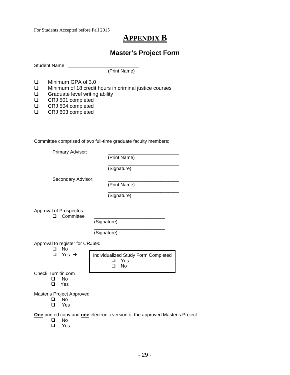For Students Accepted before Fall 2015

### **APPENDIX B**

### **Master's Project Form**

Student Name: \_\_\_\_\_\_\_\_\_\_\_

(Print Name)

- **D** Minimum GPA of 3.0
- $\Box$  Minimum of 18 credit hours in criminal justice courses  $\Box$  Graduate level writing ability
- $\Box$  Graduate level writing ability<br> $\Box$  CRJ 501 completed
- □ CRJ 501 completed<br>□ CRJ 504 completed
- $\Box$  CRJ 504 completed<br> $\Box$  CRJ 603 completed
- CRJ 603 completed

Committee comprised of two full-time graduate faculty members:

|                                | Primary Advisor:                       |                                                                              |  |
|--------------------------------|----------------------------------------|------------------------------------------------------------------------------|--|
|                                |                                        | (Print Name)                                                                 |  |
|                                |                                        | (Signature)                                                                  |  |
|                                | Secondary Advisor:                     |                                                                              |  |
|                                |                                        | (Print Name)                                                                 |  |
|                                |                                        | (Signature)                                                                  |  |
| Approval of Prospectus:<br>ப   | Committee                              |                                                                              |  |
|                                |                                        | (Signature)                                                                  |  |
|                                |                                        | (Signature)                                                                  |  |
| - 1                            | Approval to register for CRJ690:<br>No |                                                                              |  |
| □                              | Yes $\rightarrow$                      | Individualized Study Form Completed<br>Yes<br>No<br>ப                        |  |
| <b>Check Turnitin.com</b><br>□ | No<br>Yes                              |                                                                              |  |
| Master's Project Approved<br>◻ | No<br>Yes                              |                                                                              |  |
| ⊔                              | No                                     | One printed copy and one electronic version of the approved Master's Project |  |

- 
- No Yes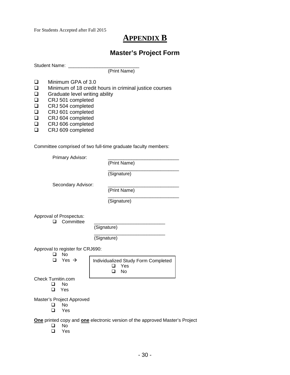For Students Accepted after Fall 2015

### **APPENDIX B**

#### **Master's Project Form**

Student Name: \_\_\_\_\_\_\_\_\_\_\_\_\_\_\_\_\_\_\_\_\_\_\_\_\_\_\_

(Print Name)

- **D** Minimum GPA of 3.0
- $\Box$  Minimum of 18 credit hours in criminal justice courses  $\Box$  Graduate level writing ability
- $\Box$  Graduate level writing ability<br> $\Box$  CRJ 501 completed
- □ CRJ 501 completed<br>□ CRJ 504 completed
- □ CRJ 504 completed<br>□ CRJ 601 completed
- □ CRJ 601 completed<br>□ CRJ 604 completed
- □ CRJ 604 completed<br>□ CRJ 606 completed
- □ CRJ 606 completed<br>□ CRJ 609 completed
- CRJ 609 completed

Committee comprised of two full-time graduate faculty members:

| Primary Advisor:                            |                                                                              |
|---------------------------------------------|------------------------------------------------------------------------------|
|                                             | (Print Name)                                                                 |
|                                             | (Signature)                                                                  |
| Secondary Advisor:                          | (Print Name)                                                                 |
|                                             | (Signature)                                                                  |
| Approval of Prospectus:<br>Committee        |                                                                              |
|                                             | (Signature)                                                                  |
|                                             | (Signature)                                                                  |
| Approval to register for CRJ690:<br>No      |                                                                              |
| Yes $\rightarrow$<br>□                      | Individualized Study Form Completed<br>Yes<br>No<br>ப                        |
| <b>Check Turnitin.com</b><br>No<br>Yes<br>□ |                                                                              |
| Master's Project Approved<br>No<br>Yes<br>◻ |                                                                              |
| No<br>⊔                                     | One printed copy and one electronic version of the approved Master's Project |

Yes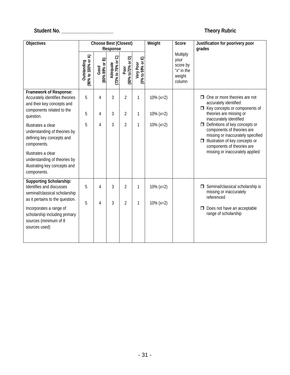### **Student No. \_\_\_\_\_\_\_\_\_\_\_\_\_\_\_\_\_\_\_\_ Theory Rubric**

| Objectives                                                                                                                                                                                             |                                   | Choose Best (Closest)  | Response                        |                           |                                        | Weight       | Score                                                          | Justification for poor/very poor<br>grades                                                                                                                                                                          |  |
|--------------------------------------------------------------------------------------------------------------------------------------------------------------------------------------------------------|-----------------------------------|------------------------|---------------------------------|---------------------------|----------------------------------------|--------------|----------------------------------------------------------------|---------------------------------------------------------------------------------------------------------------------------------------------------------------------------------------------------------------------|--|
|                                                                                                                                                                                                        | Outstanding<br>(90% to 100% or A) | (80% 89% or B)<br>Good | ි<br>(73% to 79% or<br>Adequate | (60% to 72% or D)<br>Poor | ଢ<br>(0% to 59% or<br><b>Very Poor</b> |              | Multiply<br>your<br>score by<br>"x" in the<br>weight<br>column |                                                                                                                                                                                                                     |  |
| Framework of Response:<br>Accurately identifies theories<br>and their key concepts and<br>components related to the                                                                                    | 5                                 | 4                      | 3                               | 2                         | 1                                      | $10\% (x=2)$ |                                                                | $\Box$ One or more theories are not<br>accurately identified<br>□ Key concepts or components of                                                                                                                     |  |
| question.                                                                                                                                                                                              | 5                                 | 4                      | 3                               | 2                         | 1                                      | $10\% (x=2)$ |                                                                | theories are missing or<br>inaccurately identified                                                                                                                                                                  |  |
| Illustrates a clear<br>understanding of theories by<br>defining key concepts and<br>components.<br>Illustrates a clear<br>understanding of theories by<br>illustrating key concepts and<br>components. | 5                                 | 4                      | 3                               | $\overline{2}$            | 1                                      | $10\% (x=2)$ |                                                                | $\Box$ Definitions of key concepts or<br>components of theories are<br>missing or inaccurately specified<br>$\Box$ Illustration of key concepts or<br>components of theories are<br>missing or inaccurately applied |  |
| <b>Supporting Scholarship:</b><br>Identifies and discusses<br>seminal/classical scholarship                                                                                                            | 5                                 | $\overline{4}$         | 3                               | $\overline{2}$            | 1                                      | $10\% (x=2)$ |                                                                | $\Box$ Seminal/classical scholarship is<br>missing or inaccurately                                                                                                                                                  |  |
| as it pertains to the question.<br>Incorporates a range of<br>scholarship including primary<br>sources (minimum of 8<br>sources used)                                                                  | 5                                 | 4                      | 3                               | $\overline{2}$            | 1                                      | $10\% (x=2)$ |                                                                | referenced<br>Does not have an acceptable<br>range of scholarship                                                                                                                                                   |  |
|                                                                                                                                                                                                        |                                   |                        |                                 |                           |                                        |              |                                                                |                                                                                                                                                                                                                     |  |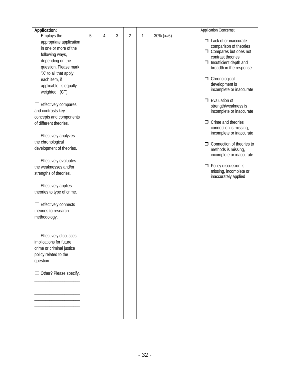| Application:                 |   |   |   |                |              |              | Application Concerns:                             |
|------------------------------|---|---|---|----------------|--------------|--------------|---------------------------------------------------|
| Employs the                  | 5 | 4 | 3 | $\overline{2}$ | $\mathbf{1}$ | $30\% (x=6)$ |                                                   |
| appropriate application      |   |   |   |                |              |              | $\Box$ Lack of or inaccurate                      |
| in one or more of the        |   |   |   |                |              |              | comparison of theories                            |
| following ways,              |   |   |   |                |              |              | $\Box$ Compares but does not<br>contrast theories |
| depending on the             |   |   |   |                |              |              | $\Box$ Insufficient depth and                     |
| question. Please mark        |   |   |   |                |              |              | breadth in the response                           |
| "X" to all that apply;       |   |   |   |                |              |              |                                                   |
| each item, if                |   |   |   |                |              |              | $\Box$ Chronological                              |
| applicable, is equally       |   |   |   |                |              |              | development is                                    |
| weighted. (CT)               |   |   |   |                |              |              | incomplete or inaccurate                          |
|                              |   |   |   |                |              |              |                                                   |
| $\Box$ Effectively compares  |   |   |   |                |              |              | $\Box$ Evaluation of                              |
|                              |   |   |   |                |              |              | strength/weakness is                              |
| and contrasts key            |   |   |   |                |              |              | incomplete or inaccurate                          |
| concepts and components      |   |   |   |                |              |              | $\Box$ Crime and theories                         |
| of different theories.       |   |   |   |                |              |              | connection is missing,                            |
|                              |   |   |   |                |              |              | incomplete or inaccurate                          |
| $\Box$ Effectively analyzes  |   |   |   |                |              |              |                                                   |
| the chronological            |   |   |   |                |              |              | $\Box$ Connection of theories to                  |
| development of theories.     |   |   |   |                |              |              | methods is missing,                               |
|                              |   |   |   |                |              |              | incomplete or inaccurate                          |
| $\Box$ Effectively evaluates |   |   |   |                |              |              |                                                   |
| the weaknesses and/or        |   |   |   |                |              |              | $\Box$ Policy discussion is                       |
| strengths of theories.       |   |   |   |                |              |              | missing, incomplete or                            |
|                              |   |   |   |                |              |              | inaccurately applied                              |
| $\Box$ Effectively applies   |   |   |   |                |              |              |                                                   |
| theories to type of crime.   |   |   |   |                |              |              |                                                   |
|                              |   |   |   |                |              |              |                                                   |
| $\Box$ Effectively connects  |   |   |   |                |              |              |                                                   |
| theories to research         |   |   |   |                |              |              |                                                   |
| methodology.                 |   |   |   |                |              |              |                                                   |
|                              |   |   |   |                |              |              |                                                   |
|                              |   |   |   |                |              |              |                                                   |
| <b>Effectively discusses</b> |   |   |   |                |              |              |                                                   |
| implications for future      |   |   |   |                |              |              |                                                   |
| crime or criminal justice    |   |   |   |                |              |              |                                                   |
| policy related to the        |   |   |   |                |              |              |                                                   |
|                              |   |   |   |                |              |              |                                                   |
| question.                    |   |   |   |                |              |              |                                                   |
|                              |   |   |   |                |              |              |                                                   |
| Other? Please specify.       |   |   |   |                |              |              |                                                   |
|                              |   |   |   |                |              |              |                                                   |
|                              |   |   |   |                |              |              |                                                   |
|                              |   |   |   |                |              |              |                                                   |
|                              |   |   |   |                |              |              |                                                   |
|                              |   |   |   |                |              |              |                                                   |
|                              |   |   |   |                |              |              |                                                   |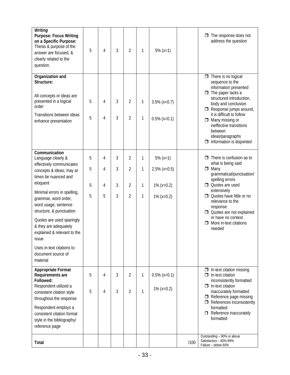| Writing<br><b>Purpose: Focus Writing</b><br>on a Specific Purpose:<br>Thesis & purpose of the<br>answer are focused, &<br>clearly related to the<br>question. | 5 | 4 | 3 | 2              | 1 | $5\% (x=1)$     |      | $\Box$ The response does not<br>address the question                                                                                  |
|---------------------------------------------------------------------------------------------------------------------------------------------------------------|---|---|---|----------------|---|-----------------|------|---------------------------------------------------------------------------------------------------------------------------------------|
| Organization and<br>Structure:                                                                                                                                |   |   |   |                |   |                 |      | $\Box$ There is no logical<br>sequence to the                                                                                         |
| All concepts or ideas are<br>presented in a logical<br>order                                                                                                  | 5 | 4 | 3 | $\overline{2}$ | 1 | $3.5\%$ (x=0.7) |      | information presented<br>$\Box$ The paper lacks a<br>structured introduction,<br>body and conclusion<br>$\Box$ Response jumps around, |
| Transitions between ideas<br>enhance presentation                                                                                                             | 5 | 4 | 3 | $\overline{2}$ | 1 | $0.5\%$ (x=0.1) |      | it is difficult to follow<br>$\Box$ Many missing or<br>ineffective transitions<br>between<br>ideas/paragraphs                         |
|                                                                                                                                                               |   |   |   |                |   |                 |      | $\Box$ Information is disjointed                                                                                                      |
| Communication<br>Language clearly &                                                                                                                           | 5 | 4 | 3 | $\overline{2}$ | 1 | $5\% (x=1)$     |      | $\Box$ There is confusion as to<br>what is being said                                                                                 |
| effectively communicates<br>concepts & ideas; may at<br>times be nuanced and                                                                                  | 5 | 4 | 3 | $\overline{2}$ | 1 | $2.5\%$ (x=0.5) |      | $\Box$ Many<br>grammatical/punctuation/                                                                                               |
| eloquent                                                                                                                                                      | 5 | 4 | 3 | $\overline{2}$ | 1 | $1\% (x=0.2)$   |      | spelling errors<br>Ouotes are used                                                                                                    |
| Minimal errors in spelling,<br>grammar, word order,<br>word usage, sentence<br>structure, & punctuation                                                       | 5 | 5 | 3 | $\overline{2}$ | 1 | $1\% (x=0.2)$   |      | extensively<br>Quotes have little or no<br>relevance to the<br>response<br>Quotes are not explained                                   |
| Quotes are used sparingly<br>& they are adequately<br>explained & relevant to the<br>issue                                                                    |   |   |   |                |   |                 |      | or have no context<br>$\Box$ More in-text citations<br>needed                                                                         |
| Uses in-text citations to<br>document source of<br>material                                                                                                   |   |   |   |                |   |                 |      |                                                                                                                                       |
| Appropriate Format<br>Requirements are<br>Followed:                                                                                                           | 5 | 4 | 3 | 2              | 1 | $0.5\%$ (x=0.1) |      | $\Box$ In-text citation missing<br>$\Box$ In-text citation<br>inconsistently formatted                                                |
| Respondent utilized a<br>consistent citation style<br>throughout the response                                                                                 | 5 | 4 | 3 | 2              | 1 | $1\%$ (x=0.2)   |      | $\Box$ In-text citation<br>inaccurately formatted<br>$\Box$ Reference page missing<br>$\Box$ References inconsistently                |
| Respondent employs a<br>consistent citation format<br>style in the bibliography/<br>reference page                                                            |   |   |   |                |   |                 |      | formatted<br>$\Box$ Reference inaccurately<br>formatted                                                                               |
| Total                                                                                                                                                         |   |   |   |                |   |                 | /100 | Outstanding - 90% or above<br>Satisfactory - 60%-89%<br>Failure - below 60%                                                           |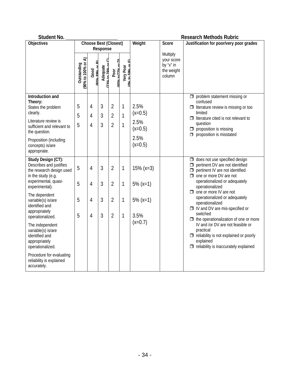| Student No.                                                                                                                               |                                   |                              |                            |                                                    |                                   | <b>Research Methods Rubric</b>                 |                                                             |                                                                                                                                                                                                                                        |  |  |
|-------------------------------------------------------------------------------------------------------------------------------------------|-----------------------------------|------------------------------|----------------------------|----------------------------------------------------|-----------------------------------|------------------------------------------------|-------------------------------------------------------------|----------------------------------------------------------------------------------------------------------------------------------------------------------------------------------------------------------------------------------------|--|--|
| <b>Objectives</b>                                                                                                                         |                                   | <b>Choose Best (Closest)</b> | Response                   |                                                    |                                   | Weight                                         | Score                                                       | Justification for poor/very poor grades                                                                                                                                                                                                |  |  |
|                                                                                                                                           | Outstanding<br>(90% to 100% or A) | 2002, 2002, or R<br>Good     | Adequate<br>(13% to 70% or | አበ‰ to 79‰ or D)<br>Poor                           | Very Poor<br>to 50%               |                                                | Multiply<br>your score<br>by "x" in<br>the weight<br>column |                                                                                                                                                                                                                                        |  |  |
| Introduction and<br>Theory:<br>States the problem<br>clearly.<br>Literature review is<br>sufficient and relevant to<br>the question.      | 5<br>5<br>5                       | 4<br>4<br>4                  | 3<br>3<br>3                | $\overline{2}$<br>$\overline{2}$<br>$\overline{2}$ | 1<br>$\mathbf{1}$<br>$\mathbf{1}$ | 2.5%<br>$(x=0.5)$<br>2.5%<br>$(x=0.5)$<br>2.5% |                                                             | $\Box$ problem statement missing or<br>confused<br>$\Box$ literature review is missing or too<br>limited<br>$\Box$ literature cited is not relevant to<br>question<br>$\Box$ proposition is missing<br>$\Box$ proposition is misstated |  |  |
| Proposition (including<br>concepts) is/are<br>appropriate.                                                                                |                                   |                              |                            |                                                    |                                   | $(x=0.5)$                                      |                                                             |                                                                                                                                                                                                                                        |  |  |
| Study Design (CT):<br>Describes and justifies<br>the research design used<br>in the study (e.g.<br>experimental, quasi-<br>experimental). | 5<br>5                            | 4<br>4                       | 3<br>3                     | $\overline{2}$<br>$\overline{2}$                   | $\mathbf{1}$<br>1                 | $15\%$ (x=3)<br>$5\% (x=1)$                    |                                                             | $\Box$ does not use specified design<br>$\Box$ pertinent DV are not identified<br>$\Box$ pertinent IV are not identified<br>$\Box$ one or more DV are not<br>operationalized or adequately<br>operationalized                          |  |  |
| The dependent<br>variable(s) is/are<br>identified and<br>appropriately<br>operationalized.                                                | 5<br>5                            | 4<br>$\overline{4}$          | 3<br>3                     | $\overline{2}$<br>$\overline{2}$                   | 1<br>$\mathbf{1}$                 | $5\% (x=1)$<br>3.5%                            |                                                             | $\Box$ one or more IV are not<br>operationalized or adequately<br>operationalized<br>□ IV and DV are mis-specified or<br>switched<br>$\Box$ the operationalization of one or more                                                      |  |  |
| The independent<br>variable(s) is/are<br>identified and<br>appropriately<br>operationalized.                                              |                                   |                              |                            |                                                    |                                   | $(x=0.7)$                                      |                                                             | IV and /or DV are not feasible or<br>practical<br>$\Box$ reliability is not explained or poorly<br>explained<br>$\Box$ reliability is inaccurately explained                                                                           |  |  |
| Procedure for evaluating<br>reliability is explained<br>accurately.                                                                       |                                   |                              |                            |                                                    |                                   |                                                |                                                             |                                                                                                                                                                                                                                        |  |  |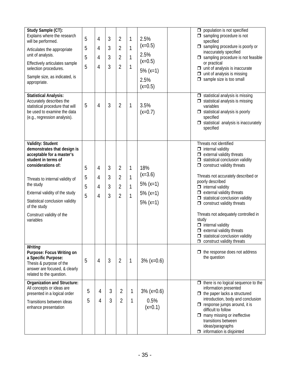| Study Sample (CT):<br>Explains where the research<br>will be performed.<br>Articulates the appropriate<br>unit of analysis.<br>Effectively articulates sample<br>selection procedures.<br>Sample size, as indicated, is<br>appropriate.                                                                   | 5<br>5<br>5<br>5 | 4<br>4<br>4<br>4 | 3<br>3<br>3<br>3 | $\overline{2}$<br>$\overline{2}$<br>2<br>$\overline{2}$              | 1<br>1<br>1<br>1 | 2.5%<br>$(x=0.5)$<br>2.5%<br>$(x=0.5)$<br>$5\% (x=1)$<br>2.5%<br>$(x=0.5)$ | population is not specified<br>$\Box$<br>$\Box$ sampling procedure is not<br>specified<br>sampling procedure is poorly or<br>inaccurately specified<br>$\Box$ sampling procedure is not feasible<br>or practical<br>$\Box$ unit of analysis is inaccurate<br>$\Box$ unit of analysis is missing<br>$\Box$ sample size is too small                                                                                                                                                                                                                                              |
|-----------------------------------------------------------------------------------------------------------------------------------------------------------------------------------------------------------------------------------------------------------------------------------------------------------|------------------|------------------|------------------|----------------------------------------------------------------------|------------------|----------------------------------------------------------------------------|---------------------------------------------------------------------------------------------------------------------------------------------------------------------------------------------------------------------------------------------------------------------------------------------------------------------------------------------------------------------------------------------------------------------------------------------------------------------------------------------------------------------------------------------------------------------------------|
| <b>Statistical Analysis:</b><br>Accurately describes the<br>statistical procedure that will<br>be used to examine the data<br>(e.g., regression analysis).                                                                                                                                                | 5                | 4                | 3                | $\overline{2}$                                                       | 1                | 3.5%<br>$(x=0.7)$                                                          | $\Box$ statistical analysis is missing<br>$\Box$ statistical analysis is missing<br>variables<br>$\Box$ statistical analysis is poorly<br>specified<br>$\Box$ statistical analysis is inaccurately<br>specified                                                                                                                                                                                                                                                                                                                                                                 |
| Validity: Student<br>demonstrates that design is<br>acceptable for a master's<br>student in terms of<br>considerations of:<br>Threats to internal validity of<br>the study<br>External validity of the study<br>Statistical conclusion validity<br>of the study<br>Construct validity of the<br>variables | 5<br>5<br>5<br>5 | 4<br>4<br>4<br>4 | 3<br>3<br>3<br>3 | $\overline{2}$<br>$\overline{2}$<br>$\overline{2}$<br>$\overline{2}$ | 1<br>1<br>1<br>1 | 18%<br>$(x=3.6)$<br>$5\% (x=1)$<br>$5\% (x=1)$<br>$5\% (x=1)$              | Threats not identified<br>$\Box$ internal validity<br>$\Box$ external validity threats<br>$\Box$ statistical conclusion validity<br>$\Box$ construct validity threats<br>Threats not accurately described or<br>poorly described<br>$\Box$ internal validity<br>$\Box$ external validity threats<br>$\Box$ statistical conclusion validity<br>$\Box$ construct validity threats<br>Threats not adequately controlled in<br>study<br>$\Box$ internal validity<br>$\Box$ external validity threats<br>$\Box$ statistical conclusion validity<br>$\Box$ construct validity threats |
| Writing<br>Purpose: Focus Writing on<br>a Specific Purpose:<br>Thesis & purpose of the<br>answer are focused, & clearly<br>related to the question.                                                                                                                                                       | 5                | 4                | 3                | $\overline{2}$                                                       | $\mathbf{1}$     | $3\%$ (x=0.6)                                                              | $\Box$ the response does not address<br>the question                                                                                                                                                                                                                                                                                                                                                                                                                                                                                                                            |
| Organization and Structure:<br>All concepts or ideas are<br>presented in a logical order<br>Transitions between ideas<br>enhance presentation                                                                                                                                                             | 5<br>5           | 4<br>4           | 3<br>3           | 2<br>2                                                               | 1<br>1           | $3\%$ (x=0.6)<br>0.5%<br>$(x=0.1)$                                         | $\Box$ there is no logical sequence to the<br>information presented<br>$\Box$ the paper lacks a structured<br>introduction, body and conclusion<br>$\Box$ response jumps around, it is<br>difficult to follow<br>$\Box$ many missing or ineffective<br>transitions between<br>ideas/paragraphs<br>$\Box$ information is disjointed                                                                                                                                                                                                                                              |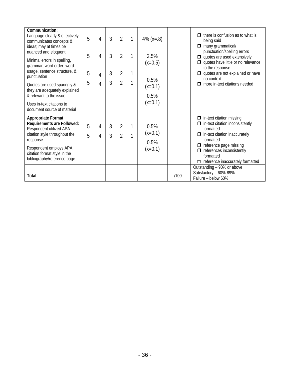| Communication:<br>Language clearly & effectively<br>communicates concepts &<br>ideas; may at times be<br>nuanced and eloquent<br>Minimal errors in spelling,<br>grammar, word order, word<br>usage, sentence structure, &<br>punctuation<br>Quotes are used sparingly &<br>they are adequately explained | 5<br>5<br>5<br>5 | 4<br>4<br>4<br>4 | 3<br>3<br>3<br>3 | $\overline{2}$<br>$\overline{2}$<br>$\overline{2}$<br>2 | 1<br>1 | 4% $(x=.8)$<br>2.5%<br>$(x=0.5)$<br>0.5%<br>$(x=0.1)$ |      | there is confusion as to what is<br>being said<br>$\Box$ many grammatical/<br>punctuation/spelling errors<br>$\Box$ quotes are used extensively<br>quotes have little or no relevance<br>$\Box$<br>to the response<br>quotes are not explained or have<br>no context<br>more in-text citations needed |
|----------------------------------------------------------------------------------------------------------------------------------------------------------------------------------------------------------------------------------------------------------------------------------------------------------|------------------|------------------|------------------|---------------------------------------------------------|--------|-------------------------------------------------------|------|-------------------------------------------------------------------------------------------------------------------------------------------------------------------------------------------------------------------------------------------------------------------------------------------------------|
| & relevant to the issue                                                                                                                                                                                                                                                                                  |                  |                  |                  |                                                         |        | 0.5%                                                  |      |                                                                                                                                                                                                                                                                                                       |
| Uses in-text citations to<br>document source of material                                                                                                                                                                                                                                                 |                  |                  |                  |                                                         |        | $(x=0.1)$                                             |      |                                                                                                                                                                                                                                                                                                       |
| Appropriate Format<br>Requirements are Followed:<br>Respondent utilized APA<br>citation style throughout the<br>response<br>Respondent employs APA<br>citation format style in the<br>bibliography/reference page                                                                                        | 5<br>5           | 4<br>4           | 3<br>3           | $\overline{2}$<br>$\overline{2}$                        | 1<br>1 | 0.5%<br>$(x=0.1)$<br>0.5%<br>$(x=0.1)$                |      | $\Box$ in-text citation missing<br>$\Box$ in-text citation inconsistently<br>formatted<br>$\Box$ in-text citation inaccurately<br>formatted<br>$\Box$ reference page missing<br>references inconsistently<br>formatted                                                                                |
|                                                                                                                                                                                                                                                                                                          |                  |                  |                  |                                                         |        |                                                       |      | $\Box$ reference inaccurately formatted                                                                                                                                                                                                                                                               |
| Total                                                                                                                                                                                                                                                                                                    |                  |                  |                  |                                                         |        |                                                       | /100 | Outstanding - 90% or above<br>Satisfactory - 60%-89%<br>Failure - below 60%                                                                                                                                                                                                                           |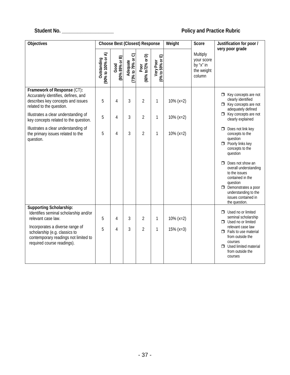### **Student No. \_\_\_\_\_\_\_\_\_\_\_\_\_\_\_\_\_\_\_\_ Policy and Practice Rubric**

| <b>Objectives</b>                                                                                                                                                                                                                |                                   |                        |                                 | <b>Choose Best (Closest) Response</b> |                                 | Weight                       | Score                                                       | Justification for poor /<br>very poor grade                                                                                                                                                                                                                                                                          |
|----------------------------------------------------------------------------------------------------------------------------------------------------------------------------------------------------------------------------------|-----------------------------------|------------------------|---------------------------------|---------------------------------------|---------------------------------|------------------------------|-------------------------------------------------------------|----------------------------------------------------------------------------------------------------------------------------------------------------------------------------------------------------------------------------------------------------------------------------------------------------------------------|
|                                                                                                                                                                                                                                  | Outstanding<br>(90% to 100% or A) | Good<br>(80% 89% or B) | ි<br>(73% to 79% or<br>Adequate | ລ<br>(60% to 72% or<br>Poor           | $(0%$ to 59% or E)<br>Very Poor |                              | Multiply<br>your score<br>by "x" in<br>the weight<br>column |                                                                                                                                                                                                                                                                                                                      |
| Framework of Response (CT):<br>Accurately identifies, defines, and<br>describes key concepts and issues<br>related to the question.                                                                                              | 5                                 | 4                      | 3                               | 2                                     | 1                               | $10\% (x=2)$                 |                                                             | $\Box$ Key concepts are not<br>clearly identified<br>$\Box$ Key concepts are not<br>adequately defined                                                                                                                                                                                                               |
| Illustrates a clear understanding of<br>key concepts related to the question.                                                                                                                                                    | 5                                 | 4                      | 3                               | 2                                     | 1                               | $10\% (x=2)$                 |                                                             | $\Box$ Key concepts are not<br>clearly explained                                                                                                                                                                                                                                                                     |
| Illustrates a clear understanding of<br>the primary issues related to the<br>question.                                                                                                                                           | 5                                 | 4                      | 3                               | $\overline{2}$                        | 1                               | $10\% (x=2)$                 |                                                             | $\Box$ Does not link key<br>concepts to the<br>question<br>$\Box$ Poorly links key<br>concepts to the<br>question<br>$\Box$ Does not show an<br>overall understanding<br>to the issues<br>contained in the<br>question<br>$\Box$ Demonstrates a poor<br>understanding to the<br>issues contained in<br>the question. |
| Supporting Scholarship:<br>Identifies seminal scholarship and/or<br>relevant case law.<br>Incorporates a diverse range of<br>scholarship (e.g. classics to<br>contemporary readings not limited to<br>required course readings). | 5<br>5                            | 4<br>4                 | 3<br>3                          | 2<br>2                                | 1<br>1                          | $10\% (x=2)$<br>$15\%$ (x=3) |                                                             | $\Box$ Used no or limited<br>seminal scholarship<br>$\Box$ Used no or limited<br>relevant case law<br>$\Box$ Fails to use material<br>from outside the<br>courses<br>Used limited material<br>from outside the<br>courses                                                                                            |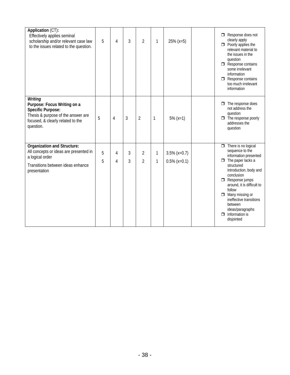| Application (CT):<br>Effectively applies seminal<br>scholarship and/or relevant case law<br>to the issues related to the question.                         | 5 | 4 | 3 | $\overline{2}$ | 1 | $25\% (x=5)$    | $\Box$ Response does not<br>clearly apply<br>$\Box$ Poorly applies the<br>relevant material to<br>the issues in the<br>question<br>$\Box$ Response contains<br>some irrelevant<br>information<br>$\Box$ Response contains<br>too much irrelevant<br>information            |
|------------------------------------------------------------------------------------------------------------------------------------------------------------|---|---|---|----------------|---|-----------------|----------------------------------------------------------------------------------------------------------------------------------------------------------------------------------------------------------------------------------------------------------------------------|
| Writing<br>Purpose: Focus Writing on a<br><b>Specific Purpose:</b><br>Thesis & purpose of the answer are<br>focused, & clearly related to the<br>question. | 5 | 4 | 3 | $\overline{2}$ | 1 | $5\% (x=1)$     | $\Box$ The response does<br>not address the<br>question<br>$\Box$ The response poorly<br>addresses the<br>question                                                                                                                                                         |
| Organization and Structure:<br>All concepts or ideas are presented in                                                                                      |   |   |   |                |   |                 | $\Box$ There is no logical<br>sequence to the                                                                                                                                                                                                                              |
| a logical order                                                                                                                                            | 5 | 4 | 3 | 2              | 1 | $3.5\%$ (x=0.7) | information presented                                                                                                                                                                                                                                                      |
| Transitions between ideas enhance<br>presentation                                                                                                          | 5 | 4 | 3 | $\overline{2}$ | 1 | $0.5\%$ (x=0.1) | $\Box$ The paper lacks a<br>structured<br>introduction, body and<br>conclusion<br>$\Box$ Response jumps<br>around, it is difficult to<br>follow<br>$\Box$ Many missing or<br>ineffective transitions<br>between<br>ideas/paragraphs<br>$\Box$ Information is<br>disjointed |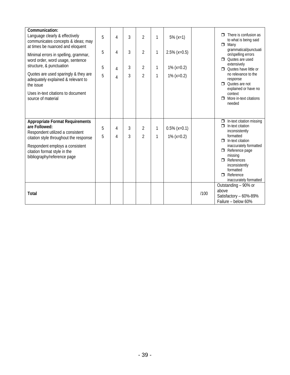| Communication:<br>Language clearly & effectively<br>communicates concepts & ideas; may<br>at times be nuanced and eloquent                                                                               | 5      | $\overline{4}$ | 3      | $\overline{2}$                   | 1      | $5\% (x=1)$                      |      | There is confusion as<br>to what is being said<br>$\Box$ Many<br>grammatical/punctuati                                                                                                      |
|----------------------------------------------------------------------------------------------------------------------------------------------------------------------------------------------------------|--------|----------------|--------|----------------------------------|--------|----------------------------------|------|---------------------------------------------------------------------------------------------------------------------------------------------------------------------------------------------|
| Minimal errors in spelling, grammar,<br>word order, word usage, sentence<br>structure, & punctuation                                                                                                     | 5<br>5 | 4<br>4         | 3<br>3 | $\overline{2}$<br>$\overline{2}$ | 1<br>1 | $2.5\%$ (x=0.5)<br>$1\% (x=0.2)$ |      | on/spelling errors<br>$\Box$ Ouotes are used<br>extensively                                                                                                                                 |
| Quotes are used sparingly & they are<br>adequately explained & relevant to<br>the issue                                                                                                                  | 5      | $\overline{4}$ | 3      | 2                                | 1      | $1\% (x=0.2)$                    |      | Quotes have little or<br>no relevance to the<br>response<br>Quotes are not<br>$\Box$<br>explained or have no                                                                                |
| Uses in-text citations to document<br>source of material                                                                                                                                                 |        |                |        |                                  |        |                                  |      | context<br>More in-text citations<br>$\Box$<br>needed                                                                                                                                       |
| <b>Appropriate Format Requirements</b><br>are Followed:<br>Respondent utilized a consistent<br>citation style throughout the response<br>Respondent employs a consistent<br>citation format style in the | 5<br>5 | 4<br>4         | 3<br>3 | $\overline{2}$<br>2              | 1<br>1 | $0.5\%$ (x=0.1)<br>$1\% (x=0.2)$ |      | In-text citation missing<br>$\Box$<br>In-text citation<br>$\Box$<br>inconsistently<br>formatted<br>In-text citation<br>$\Box$<br>inaccurately formatted<br>$\Box$ Reference page<br>missing |
| bibliography/reference page                                                                                                                                                                              |        |                |        |                                  |        |                                  |      | $\Box$ References<br>inconsistently<br>formatted<br>$\Box$ Reference<br>inaccurately formatted                                                                                              |
| <b>Total</b>                                                                                                                                                                                             |        |                |        |                                  |        |                                  | /100 | Outstanding - 90% or<br>above<br>Satisfactory - 60%-89%<br>Failure - below 60%                                                                                                              |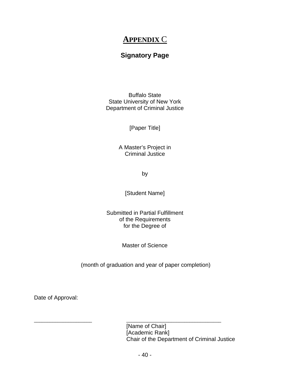### **APPENDIX** C

### **Signatory Page**

Buffalo State State University of New York Department of Criminal Justice

[Paper Title]

A Master's Project in Criminal Justice

by

[Student Name]

Submitted in Partial Fulfillment of the Requirements for the Degree of

Master of Science

(month of graduation and year of paper completion)

Date of Approval:

\_\_\_\_\_\_\_\_\_\_\_\_\_\_\_\_\_\_\_\_\_\_ \_\_\_\_\_\_\_\_\_\_\_\_\_\_\_\_\_\_\_\_\_\_\_\_\_\_\_\_\_\_\_\_\_\_\_\_ [Name of Chair] [Academic Rank] Chair of the Department of Criminal Justice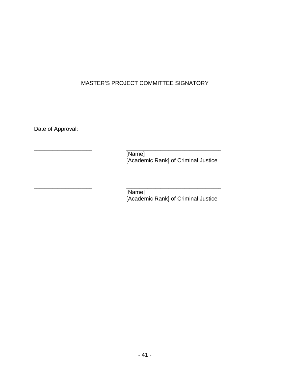#### MASTER'S PROJECT COMMITTEE SIGNATORY

Date of Approval:

\_\_\_\_\_\_\_\_\_\_\_\_\_\_\_\_\_\_\_\_\_\_ \_\_\_\_\_\_\_\_\_\_\_\_\_\_\_\_\_\_\_\_\_\_\_\_\_\_\_\_\_\_\_\_\_\_\_\_ [Name] [Academic Rank] of Criminal Justice

\_\_\_\_\_\_\_\_\_\_\_\_\_\_\_\_\_\_\_\_\_\_ \_\_\_\_\_\_\_\_\_\_\_\_\_\_\_\_\_\_\_\_\_\_\_\_\_\_\_\_\_\_\_\_\_\_\_\_ [Name] [Academic Rank] of Criminal Justice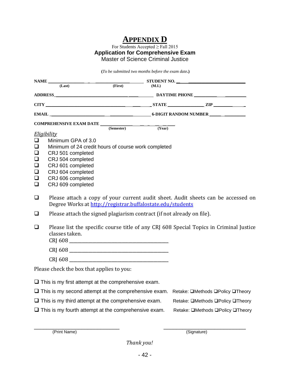### **APPENDIX D**

For Students Accepted ≥ Fall 2015 **Application for Comprehensive Exam** Master of Science Criminal Justice

**(***To be submitted two months before the exam date***.)**

|                                                                                               | NAME $\qquad \qquad \qquad$ (First)                                                                                                                                                                     |            | (M.I.) | STUDENT NO.                                                                                                                                                                                   |
|-----------------------------------------------------------------------------------------------|---------------------------------------------------------------------------------------------------------------------------------------------------------------------------------------------------------|------------|--------|-----------------------------------------------------------------------------------------------------------------------------------------------------------------------------------------------|
|                                                                                               |                                                                                                                                                                                                         |            |        |                                                                                                                                                                                               |
|                                                                                               |                                                                                                                                                                                                         |            |        | $CITY$ 2IP                                                                                                                                                                                    |
|                                                                                               |                                                                                                                                                                                                         |            |        |                                                                                                                                                                                               |
|                                                                                               | COMPREHENSIVE EXAM DATE                                                                                                                                                                                 |            |        |                                                                                                                                                                                               |
| <b>Eligibility</b><br>$\Box$<br>□<br>$\Box$<br>$\Box$<br>$\Box$<br>$\Box$<br>$\Box$<br>$\Box$ | Minimum GPA of 3.0<br>Minimum of 24 credit hours of course work completed<br>CRJ 501 completed<br>CRJ 504 completed<br>CRJ 601 completed<br>CRJ 604 completed<br>CRJ 606 completed<br>CRJ 609 completed | (Semester) | (Year) |                                                                                                                                                                                               |
| $\Box$                                                                                        | Degree Works at http://registrar.buffalostate.edu/students                                                                                                                                              |            |        | Please attach a copy of your current audit sheet. Audit sheets can be accessed on                                                                                                             |
| □                                                                                             | Please attach the signed plagiarism contract (if not already on file).                                                                                                                                  |            |        |                                                                                                                                                                                               |
| $\Box$                                                                                        | classes taken.<br>CRJ 608                                                                                                                                                                               |            |        | Please list the specific course title of any CRJ 608 Special Topics in Criminal Justice                                                                                                       |
|                                                                                               | CRJ 608                                                                                                                                                                                                 |            |        |                                                                                                                                                                                               |
|                                                                                               | Please check the box that applies to you:                                                                                                                                                               |            |        |                                                                                                                                                                                               |
|                                                                                               | $\Box$ This is my first attempt at the comprehensive exam.<br>$\Box$ This is my third attempt at the comprehensive exam.<br>$\Box$ This is my fourth attempt at the comprehensive exam.                 |            |        | $\Box$ This is my second attempt at the comprehensive exam. Retake: $\Box$ Methods $\Box$ Policy $\Box$ Theory<br>Retake: <b>QMethods QPolicy QTheory</b><br>Retake: □Methods □Policy □Theory |

(Print Name) (Signature)

*Thank you!*

\_\_\_\_\_\_\_\_\_\_\_\_\_\_\_\_\_\_\_\_\_\_\_\_\_\_\_ \_\_\_\_\_\_\_\_\_\_\_\_\_\_\_\_\_\_\_\_\_\_\_\_\_\_